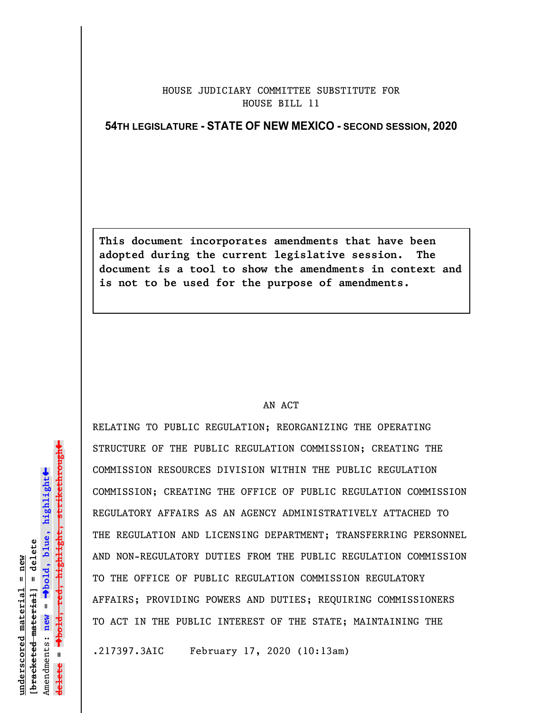## HOUSE JUDICIARY COMMITTEE SUBSTITUTE FOR HOUSE BILL 11

## **54TH LEGISLATURE - STATE OF NEW MEXICO - SECOND SESSION, 2020**

**This document incorporates amendments that have been adopted during the current legislative session. The document is a tool to show the amendments in context and is not to be used for the purpose of amendments.** 

## AN ACT

RELATING TO PUBLIC REGULATION; REORGANIZING THE OPERATING STRUCTURE OF THE PUBLIC REGULATION COMMISSION; CREATING THE COMMISSION RESOURCES DIVISION WITHIN THE PUBLIC REGULATION COMMISSION; CREATING THE OFFICE OF PUBLIC REGULATION COMMISSION REGULATORY AFFAIRS AS AN AGENCY ADMINISTRATIVELY ATTACHED TO THE REGULATION AND LICENSING DEPARTMENT; TRANSFERRING PERSONNEL AND NON-REGULATORY DUTIES FROM THE PUBLIC REGULATION COMMISSION TO THE OFFICE OF PUBLIC REGULATION COMMISSION REGULATORY AFFAIRS; PROVIDING POWERS AND DUTIES; REQUIRING COMMISSIONERS TO ACT IN THE PUBLIC INTEREST OF THE STATE; MAINTAINING THE

.217397.3AIC February 17, 2020 (10:13am)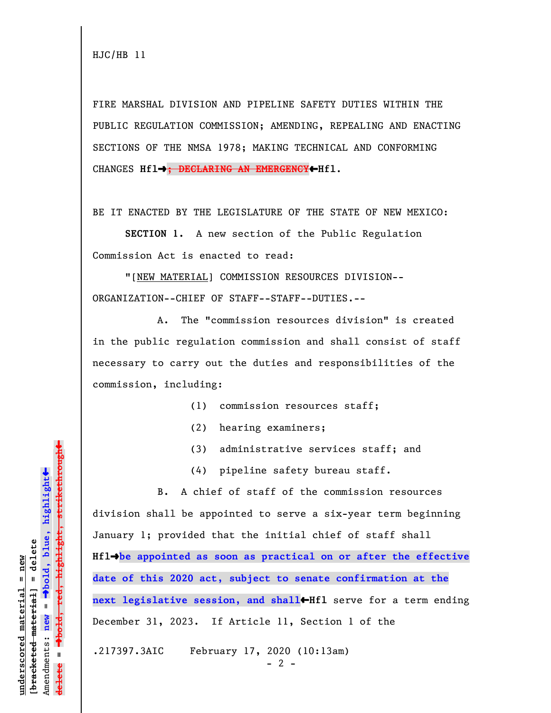FIRE MARSHAL DIVISION AND PIPELINE SAFETY DUTIES WITHIN THE PUBLIC REGULATION COMMISSION; AMENDING, REPEALING AND ENACTING SECTIONS OF THE NMSA 1978; MAKING TECHNICAL AND CONFORMING CHANGES **Hfl**º**; DECLARING AN EMERGENCY**»**Hfl**.

BE IT ENACTED BY THE LEGISLATURE OF THE STATE OF NEW MEXICO:

**SECTION 1.** A new section of the Public Regulation Commission Act is enacted to read:

"[NEW MATERIAL] COMMISSION RESOURCES DIVISION-- ORGANIZATION--CHIEF OF STAFF--STAFF--DUTIES.--

A. The "commission resources division" is created in the public regulation commission and shall consist of staff necessary to carry out the duties and responsibilities of the commission, including:

- (1) commission resources staff;
- (2) hearing examiners;
- (3) administrative services staff; and
- (4) pipeline safety bureau staff.

B. A chief of staff of the commission resources division shall be appointed to serve a six-year term beginning January 1; provided that the initial chief of staff shall **Hfl**º**be appointed as soon as practical on or after the effective date of this 2020 act, subject to senate confirmation at the** next legislative session, and shall<sup>+</sup>Hfl serve for a term ending December 31, 2023. If Article 11, Section 1 of the .217397.3AIC February 17, 2020 (10:13am)

 $- 2 -$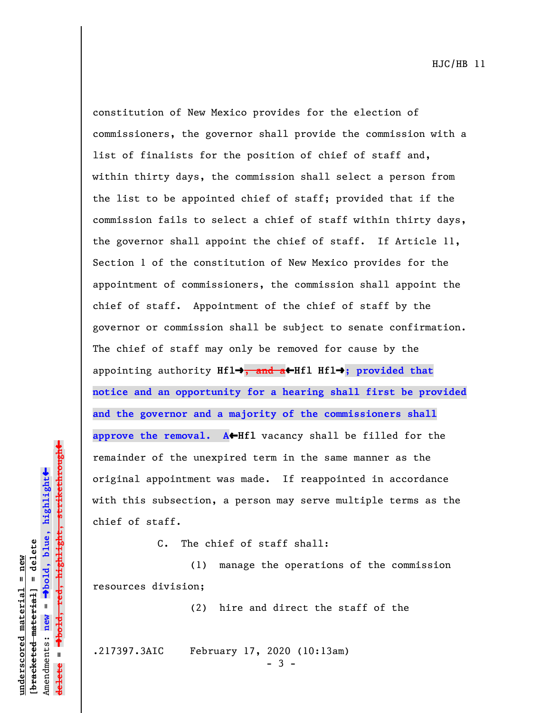constitution of New Mexico provides for the election of commissioners, the governor shall provide the commission with a list of finalists for the position of chief of staff and, within thirty days, the commission shall select a person from the list to be appointed chief of staff; provided that if the commission fails to select a chief of staff within thirty days, the governor shall appoint the chief of staff. If Article 11, Section 1 of the constitution of New Mexico provides for the appointment of commissioners, the commission shall appoint the chief of staff. Appointment of the chief of staff by the governor or commission shall be subject to senate confirmation. The chief of staff may only be removed for cause by the appointing authority **Hfl**º**, and a**»**Hfl Hfl**º**; provided that notice and an opportunity for a hearing shall first be provided and the governor and a majority of the commissioners shall** approve the removal. A-Hfl vacancy shall be filled for the remainder of the unexpired term in the same manner as the original appointment was made. If reappointed in accordance with this subsection, a person may serve multiple terms as the chief of staff.

C. The chief of staff shall:

(1) manage the operations of the commission resources division;

(2) hire and direct the staff of the

.217397.3AIC February 17, 2020 (10:13am)

 $-3 -$ 

º**bold, red, highlight, strikethrough**  $\ddot{\bullet}$ º**bold, blue, highlight** bracketed material] = delete **[bracketed material] = delete** inderscored material = new **underscored material = new** Amendments: **new** =  $\mathbf{u}$ Amendments: new **delete =**

»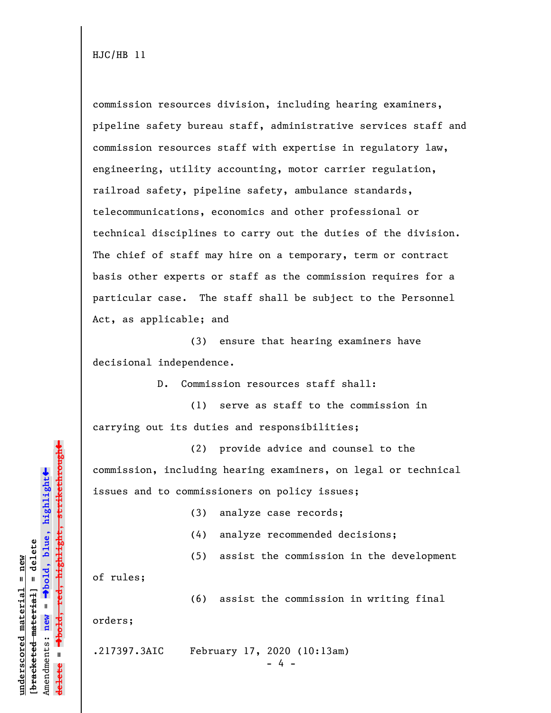commission resources division, including hearing examiners, pipeline safety bureau staff, administrative services staff and commission resources staff with expertise in regulatory law, engineering, utility accounting, motor carrier regulation, railroad safety, pipeline safety, ambulance standards, telecommunications, economics and other professional or technical disciplines to carry out the duties of the division. The chief of staff may hire on a temporary, term or contract basis other experts or staff as the commission requires for a particular case. The staff shall be subject to the Personnel Act, as applicable; and

(3) ensure that hearing examiners have decisional independence.

D. Commission resources staff shall:

(1) serve as staff to the commission in carrying out its duties and responsibilities;

(2) provide advice and counsel to the commission, including hearing examiners, on legal or technical issues and to commissioners on policy issues;

(3) analyze case records;

(4) analyze recommended decisions;

(5) assist the commission in the development

of rules;

(6) assist the commission in writing final

orders;

.217397.3AIC February 17, 2020 (10:13am)

 $\overline{4}$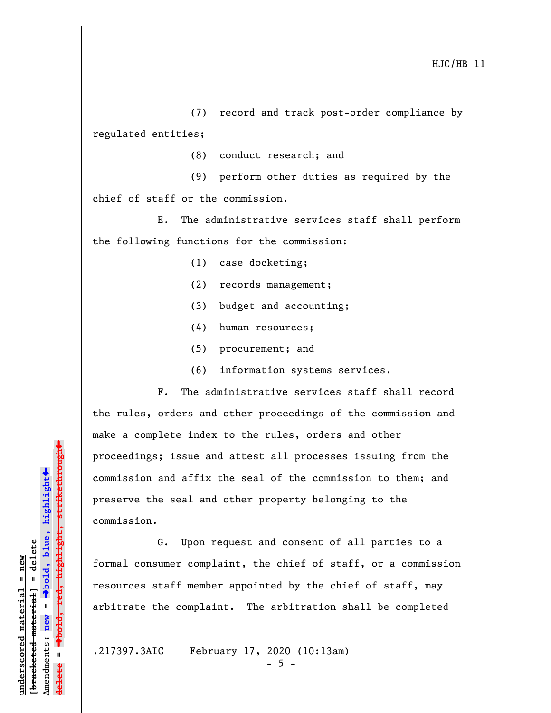(7) record and track post-order compliance by regulated entities;

(8) conduct research; and

(9) perform other duties as required by the chief of staff or the commission.

E. The administrative services staff shall perform the following functions for the commission:

(1) case docketing;

(2) records management;

(3) budget and accounting;

(4) human resources;

(5) procurement; and

(6) information systems services.

F. The administrative services staff shall record the rules, orders and other proceedings of the commission and make a complete index to the rules, orders and other proceedings; issue and attest all processes issuing from the commission and affix the seal of the commission to them; and preserve the seal and other property belonging to the commission.

G. Upon request and consent of all parties to a formal consumer complaint, the chief of staff, or a commission resources staff member appointed by the chief of staff, may arbitrate the complaint. The arbitration shall be completed

.217397.3AIC February 17, 2020 (10:13am)

 $-5 -$ 

»highlight, strikethrough º**bold, red, highlight, strikethrough**  $\ddot{\bullet}$ º**bold, blue, highlight** bracketed material] = delete **[bracketed material] = delete** inderscored material = new **underscored material = new** Amendments: new = Amendments: **new** = **delete =**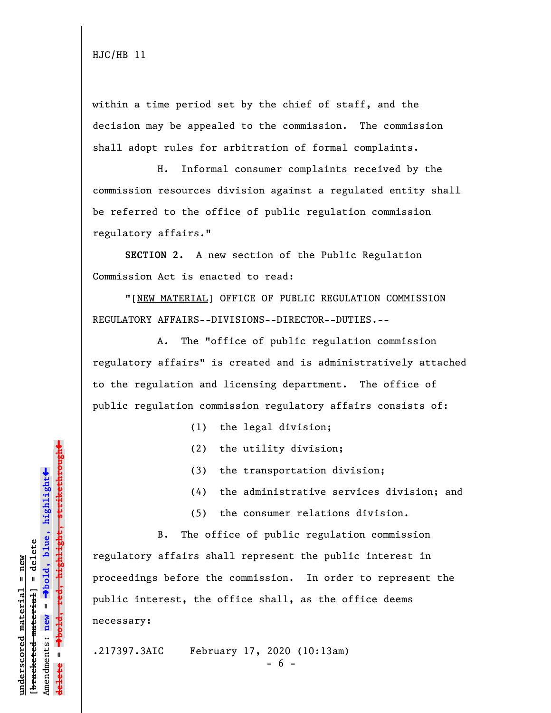within a time period set by the chief of staff, and the decision may be appealed to the commission. The commission shall adopt rules for arbitration of formal complaints.

H. Informal consumer complaints received by the commission resources division against a regulated entity shall be referred to the office of public regulation commission regulatory affairs."

**SECTION 2.** A new section of the Public Regulation Commission Act is enacted to read:

"[NEW MATERIAL] OFFICE OF PUBLIC REGULATION COMMISSION REGULATORY AFFAIRS--DIVISIONS--DIRECTOR--DUTIES.--

A. The "office of public regulation commission regulatory affairs" is created and is administratively attached to the regulation and licensing department. The office of public regulation commission regulatory affairs consists of:

(1) the legal division;

- (2) the utility division;
- (3) the transportation division;
- (4) the administrative services division; and
- (5) the consumer relations division.

B. The office of public regulation commission regulatory affairs shall represent the public interest in proceedings before the commission. In order to represent the public interest, the office shall, as the office deems necessary:

.217397.3AIC February 17, 2020 (10:13am)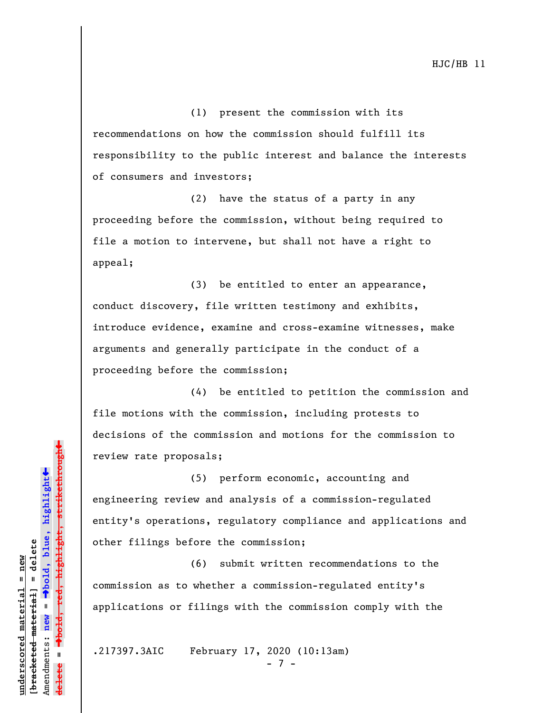(1) present the commission with its recommendations on how the commission should fulfill its responsibility to the public interest and balance the interests of consumers and investors;

(2) have the status of a party in any proceeding before the commission, without being required to file a motion to intervene, but shall not have a right to appeal;

(3) be entitled to enter an appearance, conduct discovery, file written testimony and exhibits, introduce evidence, examine and cross-examine witnesses, make arguments and generally participate in the conduct of a proceeding before the commission;

(4) be entitled to petition the commission and file motions with the commission, including protests to decisions of the commission and motions for the commission to review rate proposals;

(5) perform economic, accounting and engineering review and analysis of a commission-regulated entity's operations, regulatory compliance and applications and other filings before the commission;

(6) submit written recommendations to the commission as to whether a commission-regulated entity's applications or filings with the commission comply with the

.217397.3AIC February 17, 2020 (10:13am)

- 7 -

»red<del>, highlight, strikethrough</del> º**bold, red, highlight, strikethrough**  $\ddot{\bullet}$ º**bold, blue, highlight** bracketed material] = delete **[bracketed material] = delete** inderscored material = new **underscored material = new** Amendments: **new** =  $\bar{\mathbf{u}}$ Amendments: new **delete =**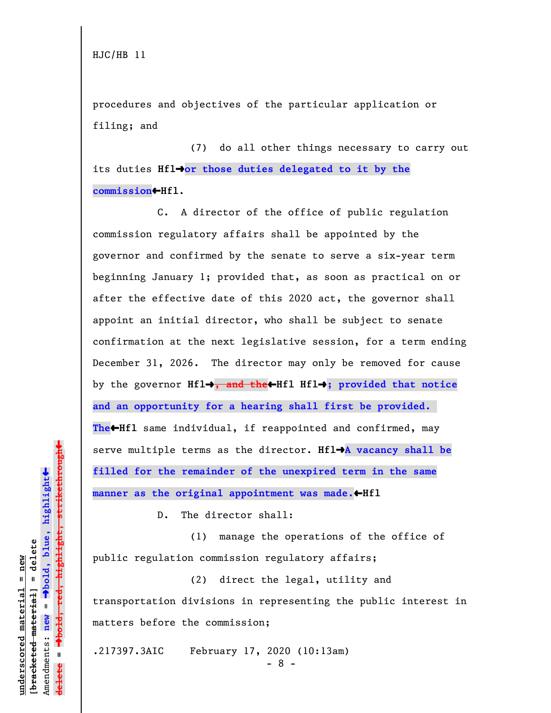procedures and objectives of the particular application or filing; and

(7) do all other things necessary to carry out its duties **Hfl-**<sup>or</sup> those duties delegated to it by the **commission**»**Hfl**.

C. A director of the office of public regulation commission regulatory affairs shall be appointed by the governor and confirmed by the senate to serve a six-year term beginning January 1; provided that, as soon as practical on or after the effective date of this 2020 act, the governor shall appoint an initial director, who shall be subject to senate confirmation at the next legislative session, for a term ending December 31, 2026. The director may only be removed for cause by the governor Hfl<sup>+</sup>, and the<sup>t</sup>Hfl Hfl<sup>+</sup>; provided that notice **and an opportunity for a hearing shall first be provided. The**»**Hfl** same individual, if reappointed and confirmed, may serve multiple terms as the director. **Hfl**º**A vacancy shall be filled for the remainder of the unexpired term in the same** manner as the original appointment was made.<br /> **Health**  $\bullet$  Hfl

D. The director shall:

(1) manage the operations of the office of public regulation commission regulatory affairs;

(2) direct the legal, utility and transportation divisions in representing the public interest in matters before the commission;

.217397.3AIC February 17, 2020 (10:13am)

 $\ddag$ º**bold, red, highlight, strikethrough**  $\ddot{\bullet}$ º**bold, blue, highlight** bracketed material] = delete **[bracketed material] = delete** inderscored material = new **underscored material = new** Amendments: **new** =  $\bar{\mathbf{u}}$ Amendments: new  $\mathbf{u}$ **delete =** <del>ielete</del>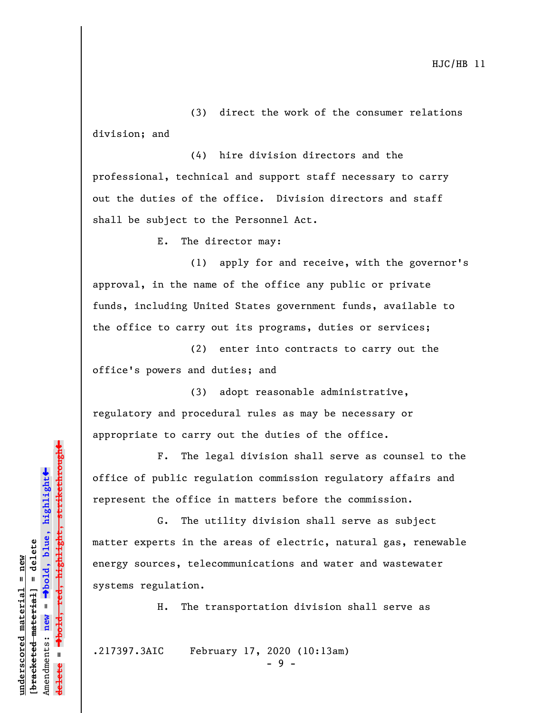(3) direct the work of the consumer relations division; and

(4) hire division directors and the professional, technical and support staff necessary to carry out the duties of the office. Division directors and staff shall be subject to the Personnel Act.

E. The director may:

(1) apply for and receive, with the governor's approval, in the name of the office any public or private funds, including United States government funds, available to the office to carry out its programs, duties or services;

(2) enter into contracts to carry out the office's powers and duties; and

(3) adopt reasonable administrative, regulatory and procedural rules as may be necessary or appropriate to carry out the duties of the office.

F. The legal division shall serve as counsel to the office of public regulation commission regulatory affairs and represent the office in matters before the commission.

G. The utility division shall serve as subject matter experts in the areas of electric, natural gas, renewable energy sources, telecommunications and water and wastewater systems regulation.

H. The transportation division shall serve as

.217397.3AIC February 17, 2020 (10:13am)

- 9 -

»º**bold, red, highlight, strikethrough** highlight, strikethrou  $\ddot{\bullet}$ º**bold, blue, highlight** bracketed material] = delete **[bracketed material] = delete** inderscored material = new **underscored material = new** Amendments: **new** =  $\mathbf{u}$ Amendments: new **delete =**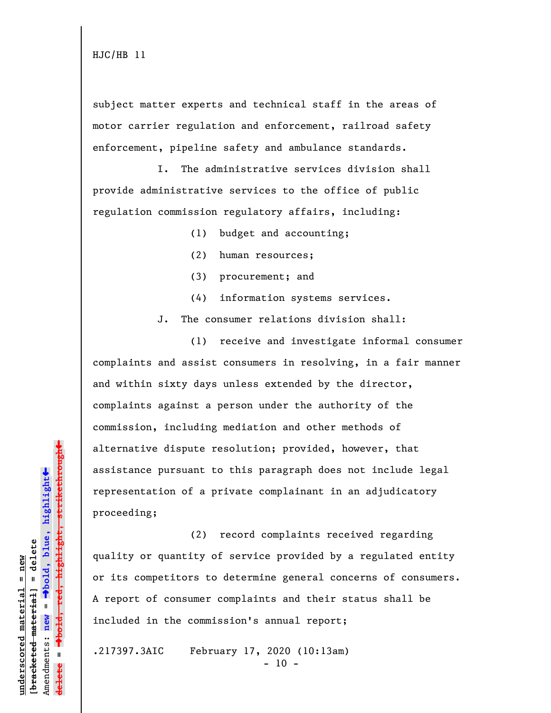subject matter experts and technical staff in the areas of motor carrier regulation and enforcement, railroad safety enforcement, pipeline safety and ambulance standards.

I. The administrative services division shall provide administrative services to the office of public regulation commission regulatory affairs, including:

(1) budget and accounting;

(2) human resources;

(3) procurement; and

(4) information systems services.

J. The consumer relations division shall:

(1) receive and investigate informal consumer complaints and assist consumers in resolving, in a fair manner and within sixty days unless extended by the director, complaints against a person under the authority of the commission, including mediation and other methods of alternative dispute resolution; provided, however, that assistance pursuant to this paragraph does not include legal representation of a private complainant in an adjudicatory proceeding;

(2) record complaints received regarding quality or quantity of service provided by a regulated entity or its competitors to determine general concerns of consumers. A report of consumer complaints and their status shall be included in the commission's annual report;

.217397.3AIC February 17, 2020 (10:13am)  $- 10 -$ 

»highlight, strikethrough º**bold, red, highlight, strikethrough**  $\ddot{\bullet}$ º**bold, blue, highlight** bracketed material] = delete **[bracketed material] = delete** inderscored material = new **underscored material = new** Amendments: **new** =  $\bar{\mathbf{u}}$ Amendments: new **delete =**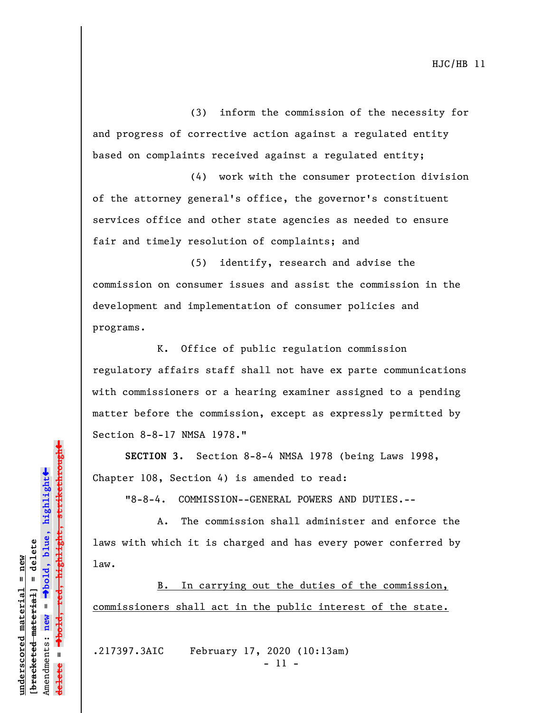(3) inform the commission of the necessity for and progress of corrective action against a regulated entity based on complaints received against a regulated entity;

(4) work with the consumer protection division of the attorney general's office, the governor's constituent services office and other state agencies as needed to ensure fair and timely resolution of complaints; and

(5) identify, research and advise the commission on consumer issues and assist the commission in the development and implementation of consumer policies and programs.

K. Office of public regulation commission regulatory affairs staff shall not have ex parte communications with commissioners or a hearing examiner assigned to a pending matter before the commission, except as expressly permitted by Section 8-8-17 NMSA 1978."

**SECTION 3.** Section 8-8-4 NMSA 1978 (being Laws 1998, Chapter 108, Section 4) is amended to read:

"8-8-4. COMMISSION--GENERAL POWERS AND DUTIES.--

A. The commission shall administer and enforce the laws with which it is charged and has every power conferred by law.

B. In carrying out the duties of the commission, commissioners shall act in the public interest of the state.

.217397.3AIC February 17, 2020 (10:13am) - 11 -

»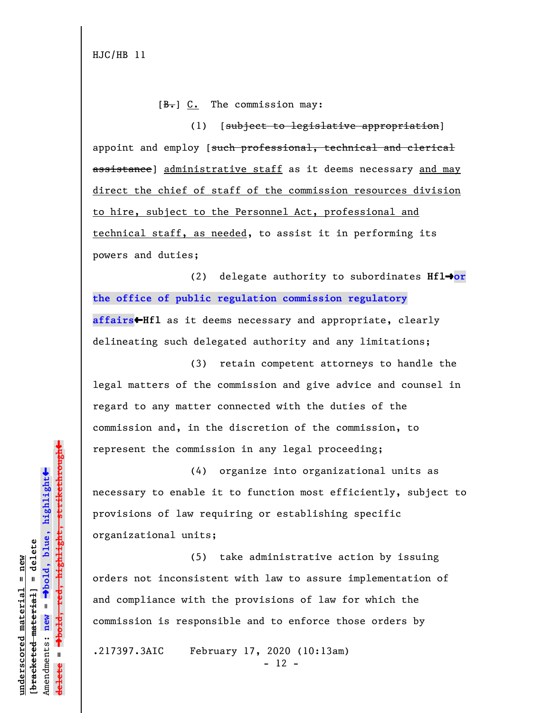$[B<sub>1</sub>]$  C. The commission may:

(1) [subject to legislative appropriation] appoint and employ [such professional, technical and clerical assistance] administrative staff as it deems necessary and may direct the chief of staff of the commission resources division to hire, subject to the Personnel Act, professional and technical staff, as needed, to assist it in performing its powers and duties;

(2) delegate authority to subordinates **Hfl**º**or the office of public regulation commission regulatory affairs**»**Hfl** as it deems necessary and appropriate, clearly delineating such delegated authority and any limitations;

(3) retain competent attorneys to handle the legal matters of the commission and give advice and counsel in regard to any matter connected with the duties of the commission and, in the discretion of the commission, to represent the commission in any legal proceeding;

(4) organize into organizational units as necessary to enable it to function most efficiently, subject to provisions of law requiring or establishing specific organizational units;

(5) take administrative action by issuing orders not inconsistent with law to assure implementation of and compliance with the provisions of law for which the commission is responsible and to enforce those orders by

.217397.3AIC February 17, 2020 (10:13am) - 12 -

º**bold, red, highlight, strikethrough**  $\ddot{\bullet}$ º**bold, blue, highlight** bracketed material] = delete **[bracketed material] = delete** inderscored material = new **underscored material = new** Amendments: **new** =  $\bar{\mathbf{u}}$ Amendments: new **delete =** lelete

 $\ddag$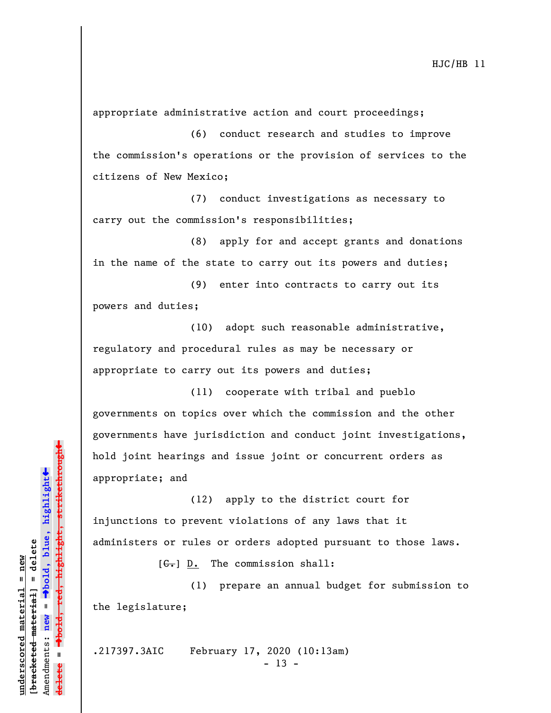appropriate administrative action and court proceedings;

(6) conduct research and studies to improve the commission's operations or the provision of services to the citizens of New Mexico;

(7) conduct investigations as necessary to carry out the commission's responsibilities;

(8) apply for and accept grants and donations in the name of the state to carry out its powers and duties;

(9) enter into contracts to carry out its powers and duties;

(10) adopt such reasonable administrative, regulatory and procedural rules as may be necessary or appropriate to carry out its powers and duties;

(11) cooperate with tribal and pueblo governments on topics over which the commission and the other governments have jurisdiction and conduct joint investigations, hold joint hearings and issue joint or concurrent orders as appropriate; and

(12) apply to the district court for injunctions to prevent violations of any laws that it administers or rules or orders adopted pursuant to those laws.

 $[G-]$  D. The commission shall:

(1) prepare an annual budget for submission to the legislature;

.217397.3AIC February 17, 2020 (10:13am)

 $- 13 -$ 

»º**bold, red, highlight, strikethrough** highlight, strikethrough  $\ddot{\bullet}$ º**bold, blue, highlight** bracketed material] = delete **[bracketed material] = delete** inderscored material = new **underscored material = new** Amendments: **new** =  $\mathbf{u}$ Amendments: new **delete =**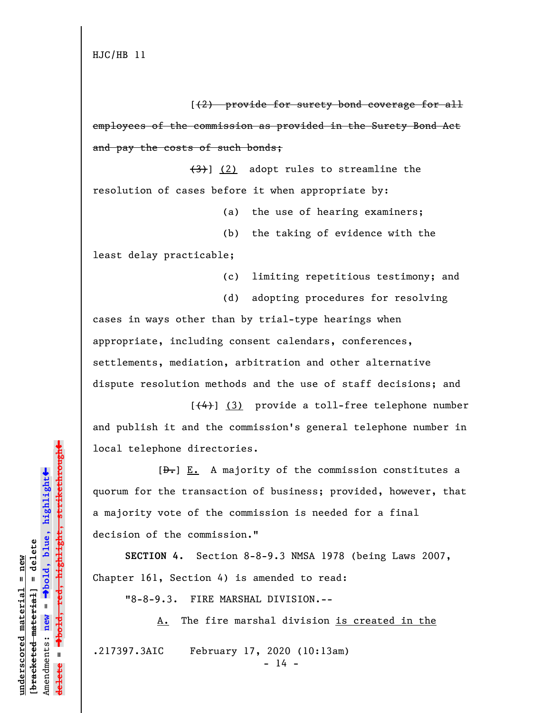$(2)$  provide for surety bond coverage for all employees of the commission as provided in the Surety Bond Act and pay the costs of such bonds;

 $(3)$ ] (2) adopt rules to streamline the resolution of cases before it when appropriate by:

(a) the use of hearing examiners;

(b) the taking of evidence with the

least delay practicable;

(c) limiting repetitious testimony; and

(d) adopting procedures for resolving cases in ways other than by trial-type hearings when appropriate, including consent calendars, conferences, settlements, mediation, arbitration and other alternative dispute resolution methods and the use of staff decisions; and

 $[$ (4)]  $(3)$  provide a toll-free telephone number and publish it and the commission's general telephone number in local telephone directories.

 $[\frac{D-1}{2}]$  E. A majority of the commission constitutes a quorum for the transaction of business; provided, however, that a majority vote of the commission is needed for a final decision of the commission."

**SECTION 4.** Section 8-8-9.3 NMSA 1978 (being Laws 2007, Chapter 161, Section 4) is amended to read:

"8-8-9.3. FIRE MARSHAL DIVISION.--

A. The fire marshal division is created in the

.217397.3AIC February 17, 2020 (10:13am)

 $- 14 -$ 

»º**bold, red, highlight, strikethrough**  $\ddot{\bullet}$ º**bold, blue, highlight** bracketed material] = delete **[bracketed material] = delete** inderscored material = new **underscored material = new** Amendments: **new** =  $\mathbf{I}$ Amendments: new **delete =**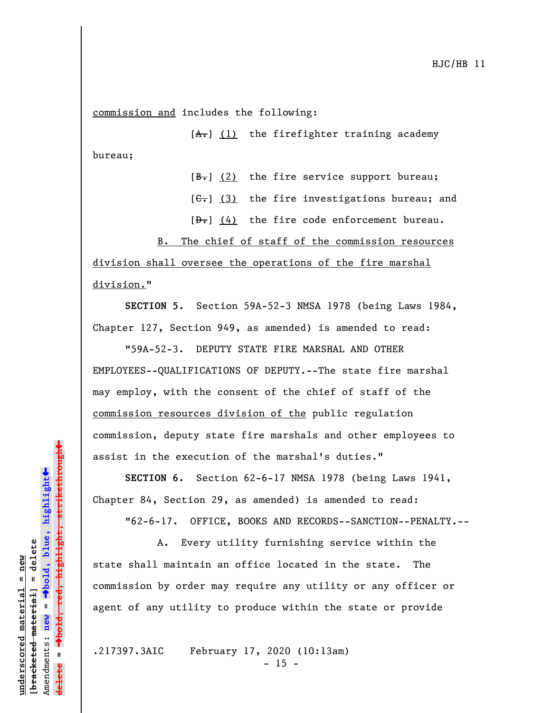commission and includes the following:

 $[A,-]$   $(1)$  the firefighter training academy bureau;

 $[\frac{B-}{C}]$  (2) the fire service support bureau;

 $[G<sub>1</sub>]$  (3) the fire investigations bureau; and

 $[\frac{D-1}{2}]$  (4) the fire code enforcement bureau.

B. The chief of staff of the commission resources division shall oversee the operations of the fire marshal division."

**SECTION 5.** Section 59A-52-3 NMSA 1978 (being Laws 1984, Chapter 127, Section 949, as amended) is amended to read:

"59A-52-3. DEPUTY STATE FIRE MARSHAL AND OTHER EMPLOYEES--QUALIFICATIONS OF DEPUTY.--The state fire marshal may employ, with the consent of the chief of staff of the commission resources division of the public regulation commission, deputy state fire marshals and other employees to assist in the execution of the marshal's duties."

**SECTION 6.** Section 62-6-17 NMSA 1978 (being Laws 1941, Chapter 84, Section 29, as amended) is amended to read:

"62-6-17. OFFICE, BOOKS AND RECORDS--SANCTION--PENALTY.--

A. Every utility furnishing service within the state shall maintain an office located in the state. The commission by order may require any utility or any officer or agent of any utility to produce within the state or provide

.217397.3AIC February 17, 2020 (10:13am)  $- 15 -$ 

º**bold, red, highlight, strikethrough** red<del>, highlight, strikethrough</del>  $\ddot{\bullet}$ º**bold, blue, highlight** bracketed material] = delete **[bracketed material] = delete** inderscored material = new **underscored material = new** Amendments: **new** =  $\mathbf{I}$ Amendments: new **delete =**

»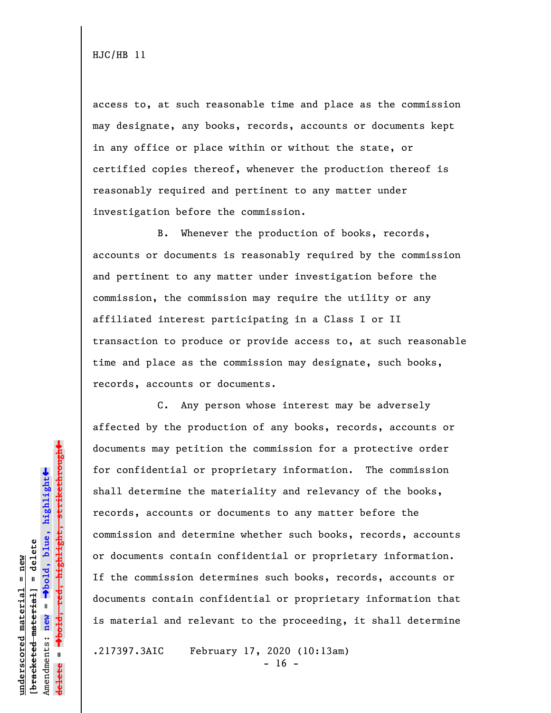access to, at such reasonable time and place as the commission may designate, any books, records, accounts or documents kept in any office or place within or without the state, or certified copies thereof, whenever the production thereof is reasonably required and pertinent to any matter under investigation before the commission.

B. Whenever the production of books, records, accounts or documents is reasonably required by the commission and pertinent to any matter under investigation before the commission, the commission may require the utility or any affiliated interest participating in a Class I or II transaction to produce or provide access to, at such reasonable time and place as the commission may designate, such books, records, accounts or documents.

C. Any person whose interest may be adversely affected by the production of any books, records, accounts or documents may petition the commission for a protective order for confidential or proprietary information. The commission shall determine the materiality and relevancy of the books, records, accounts or documents to any matter before the commission and determine whether such books, records, accounts or documents contain confidential or proprietary information. If the commission determines such books, records, accounts or documents contain confidential or proprietary information that is material and relevant to the proceeding, it shall determine

.217397.3AIC February 17, 2020 (10:13am)

 $- 16 -$ 

 $\ddag$ º**bold, red, highlight, strikethrough**  $\ddot{\bullet}$ º**bold, blue, highlight** bracketed material] = delete **[bracketed material] = delete** inderscored material = new **underscored material = new** Amendments: **new** = Amendments: new =  $\mathbf{I}$ **delete =**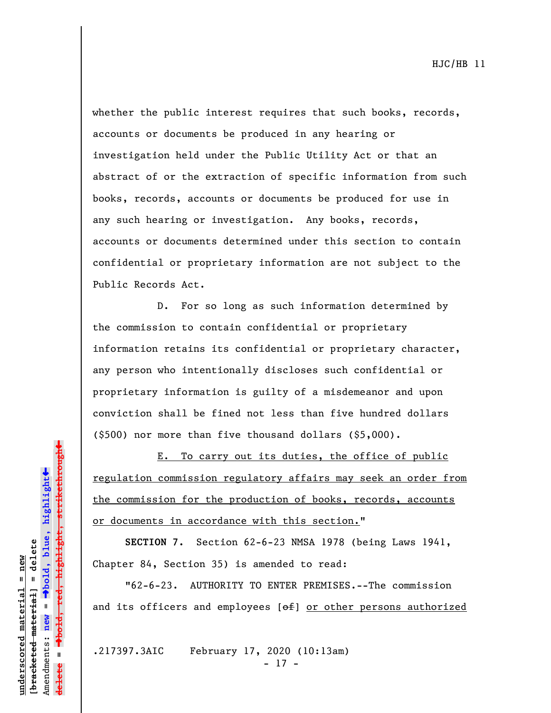whether the public interest requires that such books, records, accounts or documents be produced in any hearing or investigation held under the Public Utility Act or that an abstract of or the extraction of specific information from such books, records, accounts or documents be produced for use in any such hearing or investigation. Any books, records, accounts or documents determined under this section to contain confidential or proprietary information are not subject to the Public Records Act.

D. For so long as such information determined by the commission to contain confidential or proprietary information retains its confidential or proprietary character, any person who intentionally discloses such confidential or proprietary information is guilty of a misdemeanor and upon conviction shall be fined not less than five hundred dollars (\$500) nor more than five thousand dollars (\$5,000).

E. To carry out its duties, the office of public regulation commission regulatory affairs may seek an order from the commission for the production of books, records, accounts or documents in accordance with this section."

**SECTION 7.** Section 62-6-23 NMSA 1978 (being Laws 1941, Chapter 84, Section 35) is amended to read:

"62-6-23. AUTHORITY TO ENTER PREMISES.--The commission and its officers and employees  $[ $\theta$  +  $\theta$ ] or other persons authorized$ 

.217397.3AIC February 17, 2020 (10:13am) - 17 -

º**bold, red, highlight, strikethrough**  $\ddot{\bullet}$ º**bold, blue, highlight** bracketed material] = delete **[bracketed material] = delete** inderscored material = new **underscored material = new** Amendments: new = Amendments: **new** = **delete =**

 $\ddag$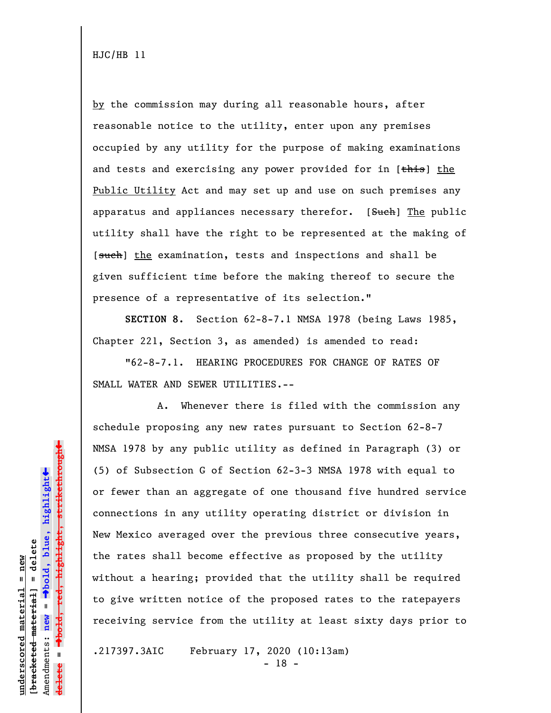by the commission may during all reasonable hours, after reasonable notice to the utility, enter upon any premises occupied by any utility for the purpose of making examinations and tests and exercising any power provided for in [this] the Public Utility Act and may set up and use on such premises any apparatus and appliances necessary therefor. [Such] The public utility shall have the right to be represented at the making of [such] the examination, tests and inspections and shall be given sufficient time before the making thereof to secure the presence of a representative of its selection."

**SECTION 8.** Section 62-8-7.1 NMSA 1978 (being Laws 1985, Chapter 221, Section 3, as amended) is amended to read:

"62-8-7.1. HEARING PROCEDURES FOR CHANGE OF RATES OF SMALL WATER AND SEWER UTILITIES.--

A. Whenever there is filed with the commission any schedule proposing any new rates pursuant to Section 62-8-7 NMSA 1978 by any public utility as defined in Paragraph (3) or (5) of Subsection G of Section 62-3-3 NMSA 1978 with equal to or fewer than an aggregate of one thousand five hundred service connections in any utility operating district or division in New Mexico averaged over the previous three consecutive years, the rates shall become effective as proposed by the utility without a hearing; provided that the utility shall be required to give written notice of the proposed rates to the ratepayers receiving service from the utility at least sixty days prior to

.217397.3AIC February 17, 2020 (10:13am)

- 18 -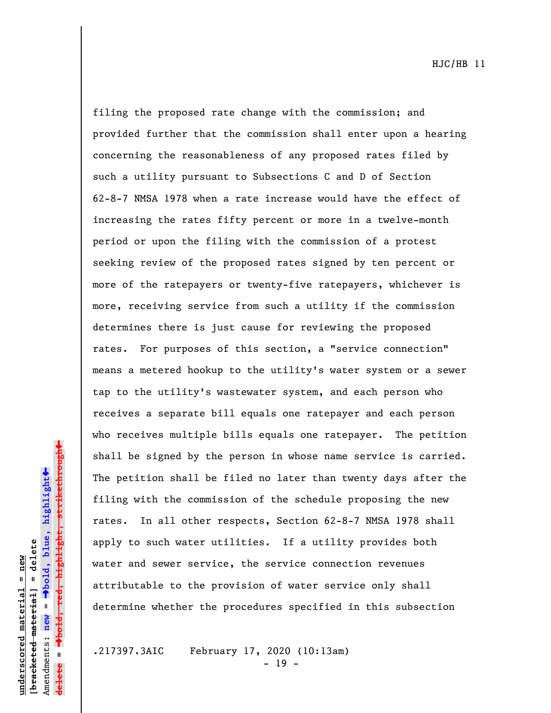filing the proposed rate change with the commission; and provided further that the commission shall enter upon a hearing concerning the reasonableness of any proposed rates filed by such a utility pursuant to Subsections C and D of Section 62-8-7 NMSA 1978 when a rate increase would have the effect of increasing the rates fifty percent or more in a twelve-month period or upon the filing with the commission of a protest seeking review of the proposed rates signed by ten percent or more of the ratepayers or twenty-five ratepayers, whichever is more, receiving service from such a utility if the commission determines there is just cause for reviewing the proposed rates. For purposes of this section, a "service connection" means a metered hookup to the utility's water system or a sewer tap to the utility's wastewater system, and each person who receives a separate bill equals one ratepayer and each person who receives multiple bills equals one ratepayer. The petition shall be signed by the person in whose name service is carried. The petition shall be filed no later than twenty days after the filing with the commission of the schedule proposing the new rates. In all other respects, Section 62-8-7 NMSA 1978 shall apply to such water utilities. If a utility provides both water and sewer service, the service connection revenues attributable to the provision of water service only shall determine whether the procedures specified in this subsection

.217397.3AIC February 17, 2020 (10:13am)

- 19 -

 $\ddag$ º**bold, red, highlight, strikethrough**  $\ddot{\bullet}$ º**bold, blue, highlight** bracketed material] = delete **[bracketed material] = delete** inderscored material = new **underscored material = new** Amendments: new = Amendments: **new** = **delete =**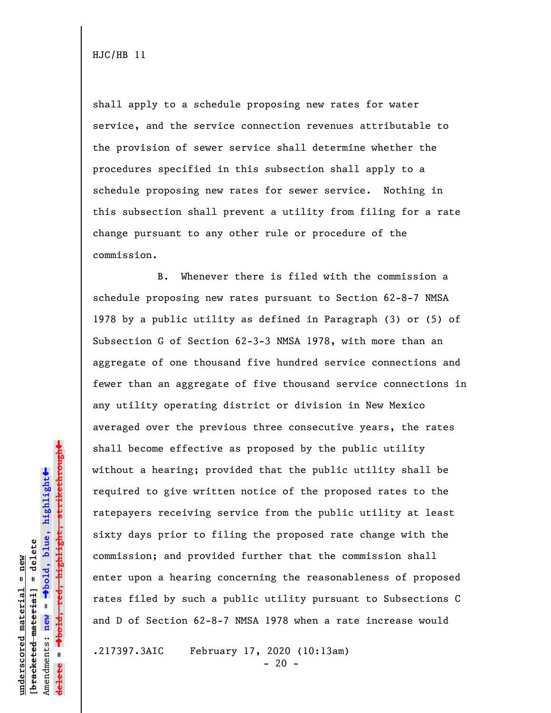shall apply to a schedule proposing new rates for water service, and the service connection revenues attributable to the provision of sewer service shall determine whether the procedures specified in this subsection shall apply to a schedule proposing new rates for sewer service. Nothing in this subsection shall prevent a utility from filing for a rate change pursuant to any other rule or procedure of the commission.

B. Whenever there is filed with the commission a schedule proposing new rates pursuant to Section 62-8-7 NMSA 1978 by a public utility as defined in Paragraph (3) or (5) of Subsection G of Section 62-3-3 NMSA 1978, with more than an aggregate of one thousand five hundred service connections and fewer than an aggregate of five thousand service connections in any utility operating district or division in New Mexico averaged over the previous three consecutive years, the rates shall become effective as proposed by the public utility without a hearing; provided that the public utility shall be required to give written notice of the proposed rates to the ratepayers receiving service from the public utility at least sixty days prior to filing the proposed rate change with the commission; and provided further that the commission shall enter upon a hearing concerning the reasonableness of proposed rates filed by such a public utility pursuant to Subsections C and D of Section 62-8-7 NMSA 1978 when a rate increase would

.217397.3AIC February 17, 2020 (10:13am)

 $- 20 -$ 

 $\ddag$ º**bold, red, highlight, strikethrough**  $\ddot{\bullet}$ º**bold, blue, highlight**  $b$ racketed material] = delete **[bracketed material] = delete** inderscored material = new **underscored material = new** Amendments: **new** = Amendments: new =  $\mathbf{I}$ **delete =** <del>ielete</del>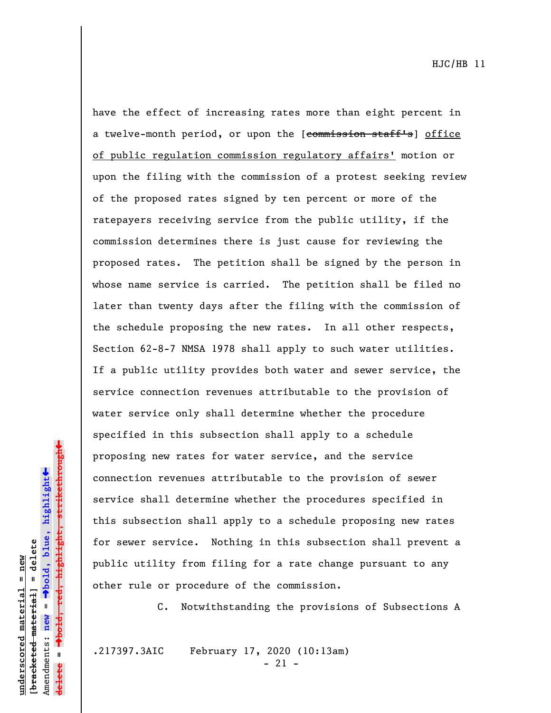have the effect of increasing rates more than eight percent in a twelve-month period, or upon the [commission staff's] office of public regulation commission regulatory affairs' motion or upon the filing with the commission of a protest seeking review of the proposed rates signed by ten percent or more of the ratepayers receiving service from the public utility, if the commission determines there is just cause for reviewing the proposed rates. The petition shall be signed by the person in whose name service is carried. The petition shall be filed no later than twenty days after the filing with the commission of the schedule proposing the new rates. In all other respects, Section 62-8-7 NMSA 1978 shall apply to such water utilities. If a public utility provides both water and sewer service, the service connection revenues attributable to the provision of water service only shall determine whether the procedure specified in this subsection shall apply to a schedule proposing new rates for water service, and the service connection revenues attributable to the provision of sewer service shall determine whether the procedures specified in this subsection shall apply to a schedule proposing new rates for sewer service. Nothing in this subsection shall prevent a public utility from filing for a rate change pursuant to any other rule or procedure of the commission.

C. Notwithstanding the provisions of Subsections A

.217397.3AIC February 17, 2020 (10:13am)

- 21 -

red<del>, highlight, strikethrough</del> º**bold, red, highlight, strikethrough**  $\ddot{\bullet}$ º**bold, blue, highlight** bracketed material] = delete **[bracketed material] = delete** inderscored material = new **underscored material = new** Amendments: **new** =  $\mathbf{I}$ Amendments: new **delete =**

»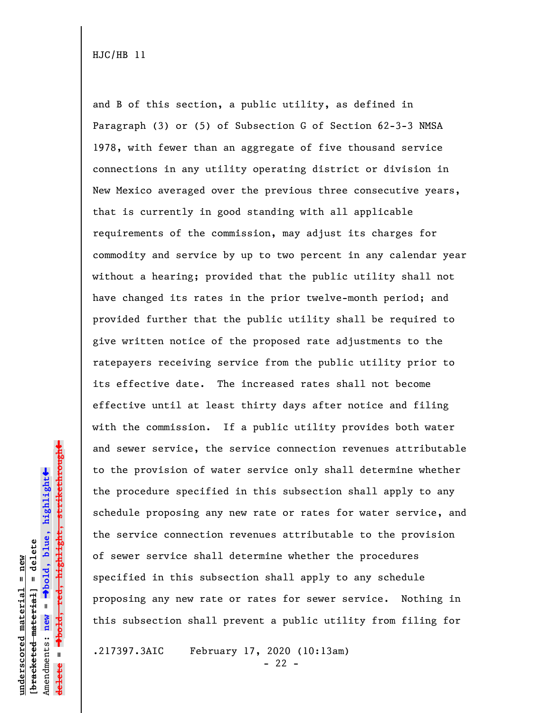and B of this section, a public utility, as defined in Paragraph (3) or (5) of Subsection G of Section 62-3-3 NMSA 1978, with fewer than an aggregate of five thousand service connections in any utility operating district or division in New Mexico averaged over the previous three consecutive years, that is currently in good standing with all applicable requirements of the commission, may adjust its charges for commodity and service by up to two percent in any calendar year without a hearing; provided that the public utility shall not have changed its rates in the prior twelve-month period; and provided further that the public utility shall be required to give written notice of the proposed rate adjustments to the ratepayers receiving service from the public utility prior to its effective date. The increased rates shall not become effective until at least thirty days after notice and filing with the commission. If a public utility provides both water and sewer service, the service connection revenues attributable to the provision of water service only shall determine whether the procedure specified in this subsection shall apply to any schedule proposing any new rate or rates for water service, and the service connection revenues attributable to the provision of sewer service shall determine whether the procedures specified in this subsection shall apply to any schedule proposing any new rate or rates for sewer service. Nothing in this subsection shall prevent a public utility from filing for

.217397.3AIC February 17, 2020 (10:13am)

 $- 22 -$ 

º**bold, red, highlight, strikethrough**  $\ddot{\bullet}$ º**bold, blue, highlight**  $b$ racketed material] = delete **[bracketed material] = delete** inderscored material = new **underscored material = new** Amendments: **new** =  $\mathbf{I}$ Amendments: new  $\mathbf{u}$ **delete =** <del>ielete</del>

 $\ddag$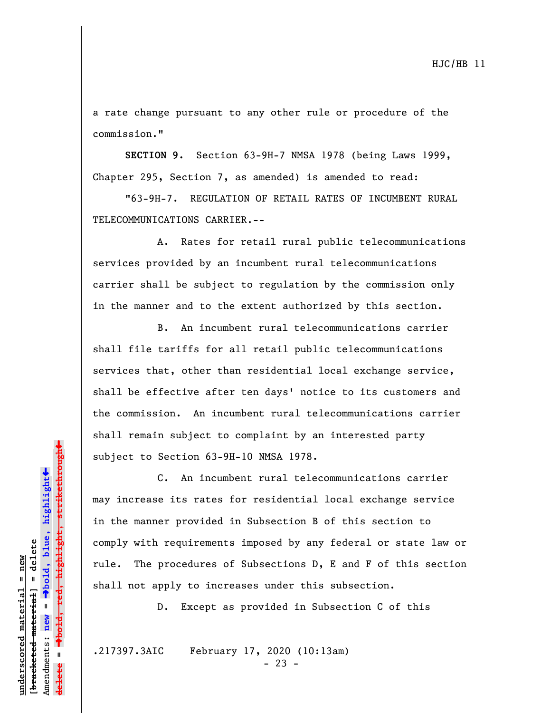a rate change pursuant to any other rule or procedure of the commission."

**SECTION 9.** Section 63-9H-7 NMSA 1978 (being Laws 1999, Chapter 295, Section 7, as amended) is amended to read:

"63-9H-7. REGULATION OF RETAIL RATES OF INCUMBENT RURAL TELECOMMUNICATIONS CARRIER.--

A. Rates for retail rural public telecommunications services provided by an incumbent rural telecommunications carrier shall be subject to regulation by the commission only in the manner and to the extent authorized by this section.

B. An incumbent rural telecommunications carrier shall file tariffs for all retail public telecommunications services that, other than residential local exchange service, shall be effective after ten days' notice to its customers and the commission. An incumbent rural telecommunications carrier shall remain subject to complaint by an interested party subject to Section 63-9H-10 NMSA 1978.

C. An incumbent rural telecommunications carrier may increase its rates for residential local exchange service in the manner provided in Subsection B of this section to comply with requirements imposed by any federal or state law or rule. The procedures of Subsections D, E and F of this section shall not apply to increases under this subsection.

D. Except as provided in Subsection C of this

.217397.3AIC February 17, 2020 (10:13am)

 $- 23 -$ 

 $\ddag$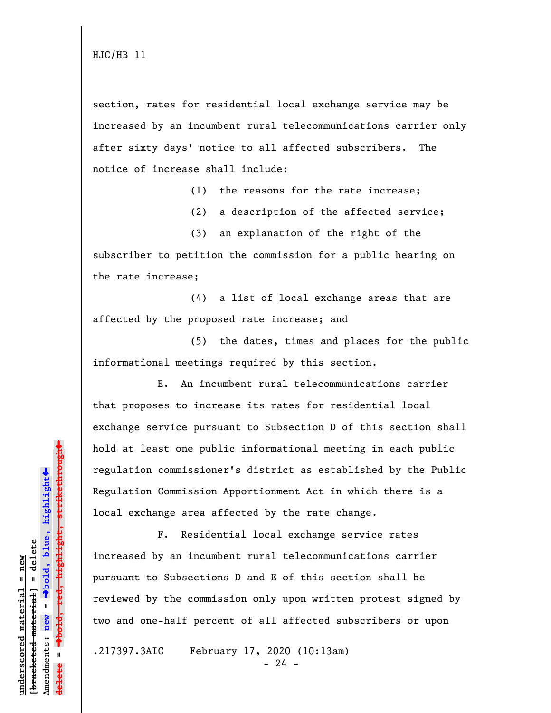section, rates for residential local exchange service may be increased by an incumbent rural telecommunications carrier only after sixty days' notice to all affected subscribers. The notice of increase shall include:

(1) the reasons for the rate increase;

(2) a description of the affected service;

(3) an explanation of the right of the subscriber to petition the commission for a public hearing on the rate increase;

(4) a list of local exchange areas that are affected by the proposed rate increase; and

(5) the dates, times and places for the public informational meetings required by this section.

E. An incumbent rural telecommunications carrier that proposes to increase its rates for residential local exchange service pursuant to Subsection D of this section shall hold at least one public informational meeting in each public regulation commissioner's district as established by the Public Regulation Commission Apportionment Act in which there is a local exchange area affected by the rate change.

F. Residential local exchange service rates increased by an incumbent rural telecommunications carrier pursuant to Subsections D and E of this section shall be reviewed by the commission only upon written protest signed by two and one-half percent of all affected subscribers or upon

.217397.3AIC February 17, 2020 (10:13am)

 $- 24 -$ 

» $\rightarrow$ bold, red, highlight, strikethrough º**bold, red, highlight, strikethrough**  $\ddot{\bullet}$ º**bold, blue, highlight**  $b$ racketed material] = delete **[bracketed material] = delete** inderscored material = new **underscored material = new** Amendments: **new** = Amendments: new =  $\mathbf{u}$ **delete =**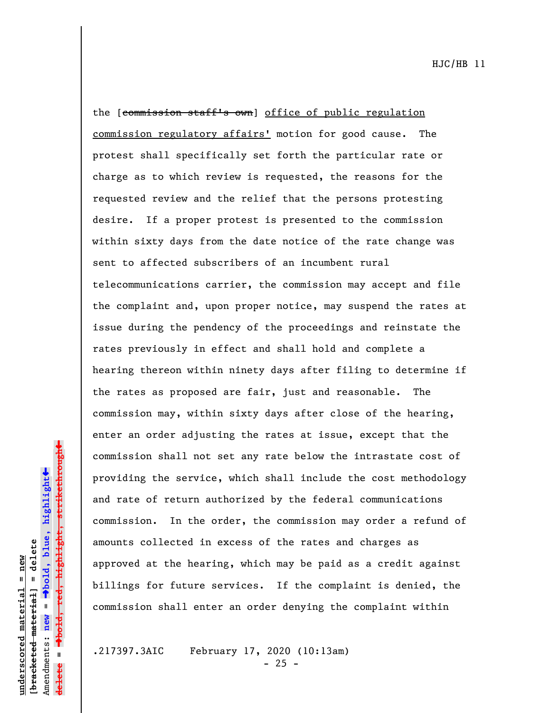the [commission staff's own] office of public regulation commission regulatory affairs' motion for good cause. The protest shall specifically set forth the particular rate or charge as to which review is requested, the reasons for the requested review and the relief that the persons protesting desire. If a proper protest is presented to the commission within sixty days from the date notice of the rate change was sent to affected subscribers of an incumbent rural telecommunications carrier, the commission may accept and file the complaint and, upon proper notice, may suspend the rates at issue during the pendency of the proceedings and reinstate the rates previously in effect and shall hold and complete a hearing thereon within ninety days after filing to determine if the rates as proposed are fair, just and reasonable. The commission may, within sixty days after close of the hearing, enter an order adjusting the rates at issue, except that the commission shall not set any rate below the intrastate cost of providing the service, which shall include the cost methodology and rate of return authorized by the federal communications commission. In the order, the commission may order a refund of amounts collected in excess of the rates and charges as approved at the hearing, which may be paid as a credit against billings for future services. If the complaint is denied, the commission shall enter an order denying the complaint within

**underscored material = new [bracketed material] = delete**

 $b$ racketed material] = delete inderscored material = new

Amendments: **new** =

Amendments: new =

**delete =**

º**bold, blue, highlight**

º**bold, red, highlight, strikethrough**

 $\ddot{\bullet}$ 

 $\ddag$ 

.217397.3AIC February 17, 2020 (10:13am)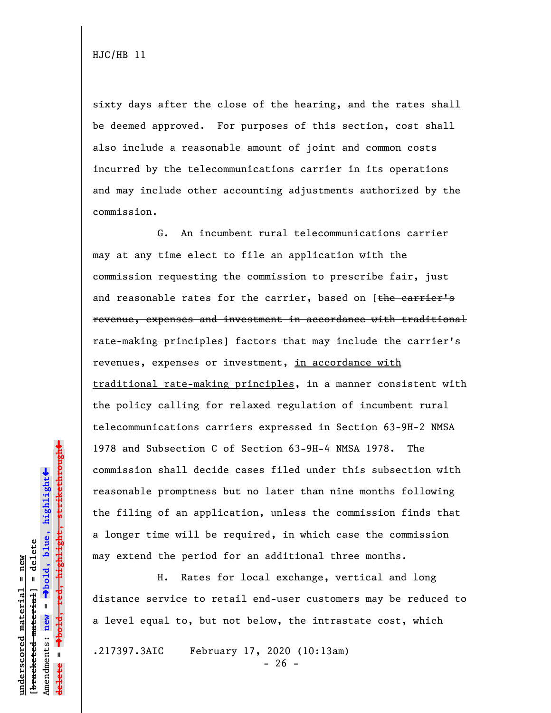sixty days after the close of the hearing, and the rates shall be deemed approved. For purposes of this section, cost shall also include a reasonable amount of joint and common costs incurred by the telecommunications carrier in its operations and may include other accounting adjustments authorized by the commission.

G. An incumbent rural telecommunications carrier may at any time elect to file an application with the commission requesting the commission to prescribe fair, just and reasonable rates for the carrier, based on [the carrier's revenue, expenses and investment in accordance with traditional rate-making principles] factors that may include the carrier's revenues, expenses or investment, in accordance with traditional rate-making principles, in a manner consistent with the policy calling for relaxed regulation of incumbent rural telecommunications carriers expressed in Section 63-9H-2 NMSA 1978 and Subsection C of Section 63-9H-4 NMSA 1978. The commission shall decide cases filed under this subsection with reasonable promptness but no later than nine months following the filing of an application, unless the commission finds that a longer time will be required, in which case the commission may extend the period for an additional three months.

H. Rates for local exchange, vertical and long distance service to retail end-user customers may be reduced to a level equal to, but not below, the intrastate cost, which

.217397.3AIC February 17, 2020 (10:13am)

 $- 26 -$ 

 $\ddag$ º**bold, red, highlight, strikethrough**  $\ddot{\bullet}$ º**bold, blue, highlight**  $b$ racketed material] = delete **[bracketed material] = delete** inderscored material = new **underscored material = new** Amendments: **new** =  $\mathbf{I}$ Amendments: new  $\mathbf{I}$ **delete =** <del>ielete</del>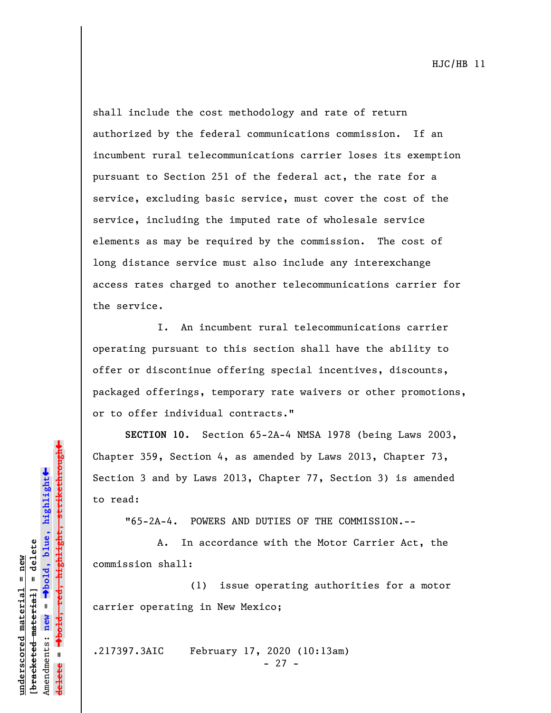shall include the cost methodology and rate of return authorized by the federal communications commission. If an incumbent rural telecommunications carrier loses its exemption pursuant to Section 251 of the federal act, the rate for a service, excluding basic service, must cover the cost of the service, including the imputed rate of wholesale service elements as may be required by the commission. The cost of long distance service must also include any interexchange access rates charged to another telecommunications carrier for the service.

I. An incumbent rural telecommunications carrier operating pursuant to this section shall have the ability to offer or discontinue offering special incentives, discounts, packaged offerings, temporary rate waivers or other promotions, or to offer individual contracts."

**SECTION 10.** Section 65-2A-4 NMSA 1978 (being Laws 2003, Chapter 359, Section 4, as amended by Laws 2013, Chapter 73, Section 3 and by Laws 2013, Chapter 77, Section 3) is amended to read:

"65-2A-4. POWERS AND DUTIES OF THE COMMISSION.--

A. In accordance with the Motor Carrier Act, the commission shall:

(1) issue operating authorities for a motor carrier operating in New Mexico;

.217397.3AIC February 17, 2020 (10:13am)  $- 27 -$ 

»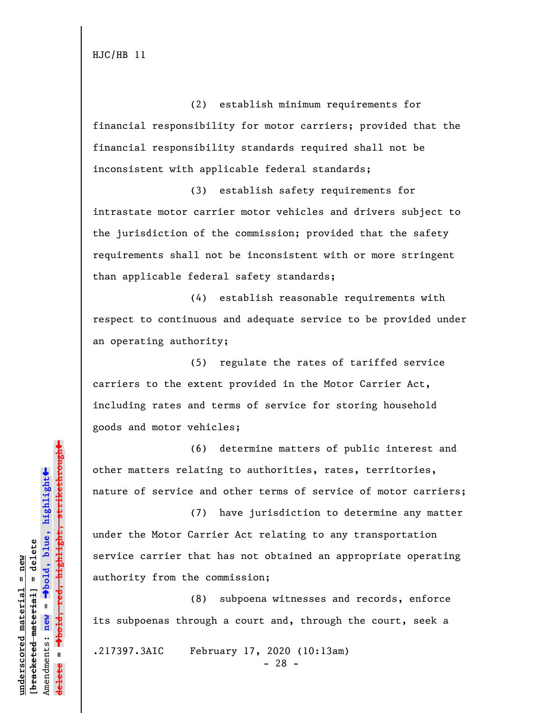(2) establish minimum requirements for financial responsibility for motor carriers; provided that the financial responsibility standards required shall not be inconsistent with applicable federal standards;

(3) establish safety requirements for intrastate motor carrier motor vehicles and drivers subject to the jurisdiction of the commission; provided that the safety requirements shall not be inconsistent with or more stringent than applicable federal safety standards;

(4) establish reasonable requirements with respect to continuous and adequate service to be provided under an operating authority;

(5) regulate the rates of tariffed service carriers to the extent provided in the Motor Carrier Act, including rates and terms of service for storing household goods and motor vehicles;

(6) determine matters of public interest and other matters relating to authorities, rates, territories, nature of service and other terms of service of motor carriers;

(7) have jurisdiction to determine any matter under the Motor Carrier Act relating to any transportation service carrier that has not obtained an appropriate operating authority from the commission;

(8) subpoena witnesses and records, enforce its subpoenas through a court and, through the court, seek a

.217397.3AIC February 17, 2020 (10:13am)

- 28 -

 $\ddag$ º**bold, red, highlight, strikethrough**  $\ddot{\bullet}$ º**bold, blue, highlight** bracketed material] = delete **[bracketed material] = delete** inderscored material = new **underscored material = new** Amendments: **new** =  $\mathbf{I}$ Amendments: new  $\mathbf{u}$ **delete =**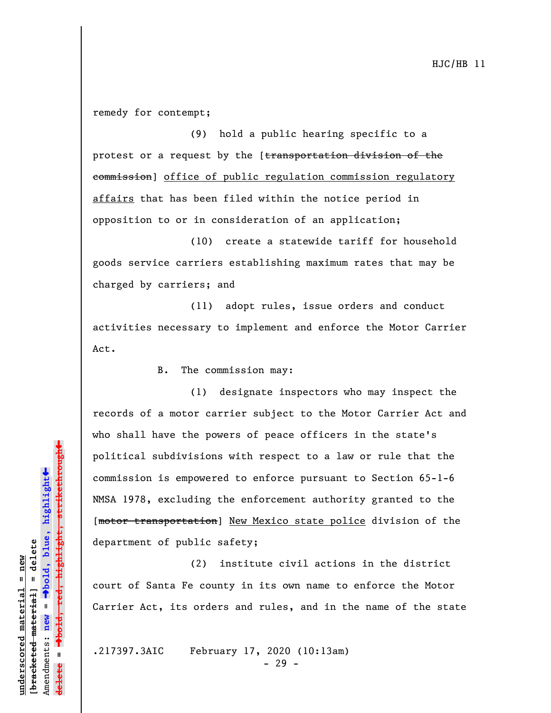remedy for contempt;

(9) hold a public hearing specific to a protest or a request by the [transportation division of the commission] office of public regulation commission regulatory affairs that has been filed within the notice period in opposition to or in consideration of an application;

(10) create a statewide tariff for household goods service carriers establishing maximum rates that may be charged by carriers; and

(11) adopt rules, issue orders and conduct activities necessary to implement and enforce the Motor Carrier Act.

B. The commission may:

(1) designate inspectors who may inspect the records of a motor carrier subject to the Motor Carrier Act and who shall have the powers of peace officers in the state's political subdivisions with respect to a law or rule that the commission is empowered to enforce pursuant to Section 65-1-6 NMSA 1978, excluding the enforcement authority granted to the [motor transportation] New Mexico state police division of the department of public safety;

(2) institute civil actions in the district court of Santa Fe county in its own name to enforce the Motor Carrier Act, its orders and rules, and in the name of the state

.217397.3AIC February 17, 2020 (10:13am)

- 29 -

»red<del>, highlight, strikethrough</del> º**bold, red, highlight, strikethrough**  $\ddot{\bullet}$ º**bold, blue, highlight** bracketed material] = delete **[bracketed material] = delete** inderscored material = new **underscored material = new** Amendments: **new** =  $\mathbf{I}$ Amendments: new **delete =**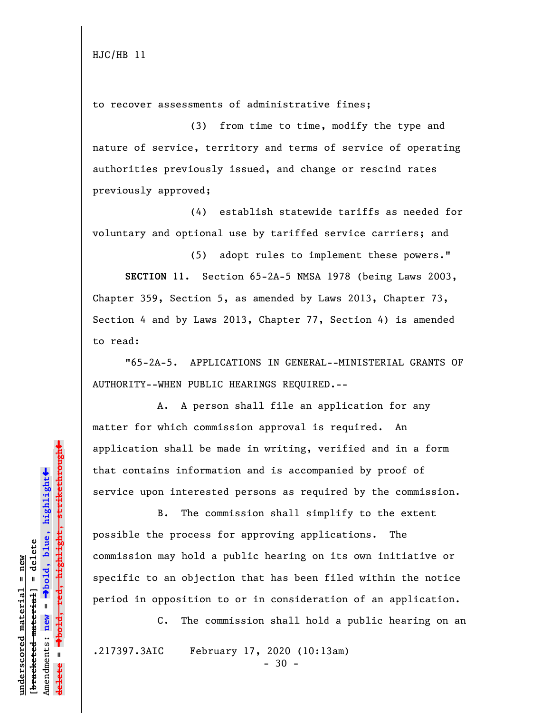to recover assessments of administrative fines;

(3) from time to time, modify the type and nature of service, territory and terms of service of operating authorities previously issued, and change or rescind rates previously approved;

(4) establish statewide tariffs as needed for voluntary and optional use by tariffed service carriers; and

(5) adopt rules to implement these powers." **SECTION 11.** Section 65-2A-5 NMSA 1978 (being Laws 2003, Chapter 359, Section 5, as amended by Laws 2013, Chapter 73, Section 4 and by Laws 2013, Chapter 77, Section 4) is amended to read:

"65-2A-5. APPLICATIONS IN GENERAL--MINISTERIAL GRANTS OF AUTHORITY--WHEN PUBLIC HEARINGS REQUIRED.--

A. A person shall file an application for any matter for which commission approval is required. An application shall be made in writing, verified and in a form that contains information and is accompanied by proof of service upon interested persons as required by the commission.

B. The commission shall simplify to the extent possible the process for approving applications. The commission may hold a public hearing on its own initiative or specific to an objection that has been filed within the notice period in opposition to or in consideration of an application.

C. The commission shall hold a public hearing on an

.217397.3AIC February 17, 2020 (10:13am)

 $-30 -$ 

 $\ddag$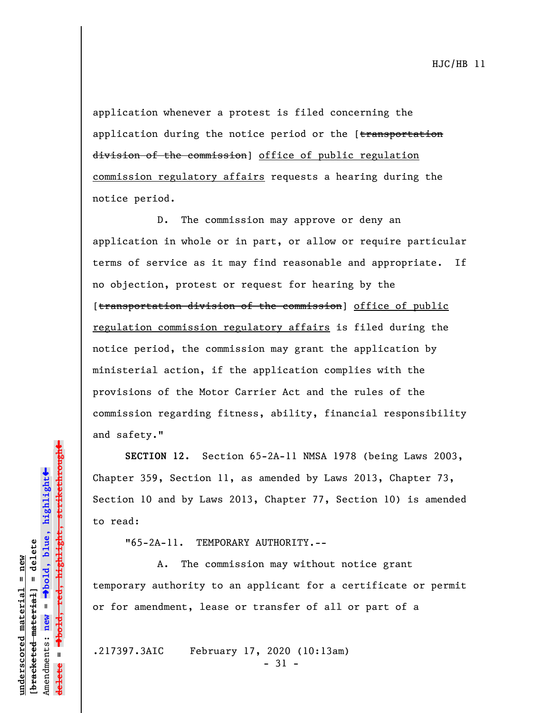application whenever a protest is filed concerning the application during the notice period or the [transportation division of the commission] office of public regulation commission regulatory affairs requests a hearing during the notice period.

D. The commission may approve or deny an application in whole or in part, or allow or require particular terms of service as it may find reasonable and appropriate. If no objection, protest or request for hearing by the [transportation division of the commission] office of public regulation commission regulatory affairs is filed during the notice period, the commission may grant the application by ministerial action, if the application complies with the provisions of the Motor Carrier Act and the rules of the commission regarding fitness, ability, financial responsibility and safety."

**SECTION 12.** Section 65-2A-11 NMSA 1978 (being Laws 2003, Chapter 359, Section 11, as amended by Laws 2013, Chapter 73, Section 10 and by Laws 2013, Chapter 77, Section 10) is amended to read:

"65-2A-11. TEMPORARY AUTHORITY.--

A. The commission may without notice grant temporary authority to an applicant for a certificate or permit or for amendment, lease or transfer of all or part of a

.217397.3AIC February 17, 2020 (10:13am)

 $-31 -$ 

»º**bold, red, highlight, strikethrough** red<del>, highlight, strikethrough</del>  $\ddot{\bullet}$ º**bold, blue, highlight** bracketed material] = delete **[bracketed material] = delete** inderscored material = new **underscored material = new** Amendments: **new** =  $\mathbf{u}$ Amendments: new **delete =**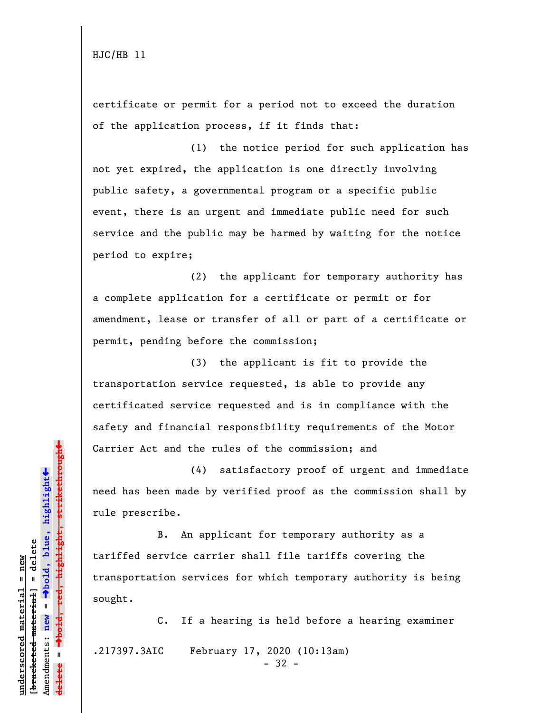certificate or permit for a period not to exceed the duration of the application process, if it finds that:

(1) the notice period for such application has not yet expired, the application is one directly involving public safety, a governmental program or a specific public event, there is an urgent and immediate public need for such service and the public may be harmed by waiting for the notice period to expire;

(2) the applicant for temporary authority has a complete application for a certificate or permit or for amendment, lease or transfer of all or part of a certificate or permit, pending before the commission;

(3) the applicant is fit to provide the transportation service requested, is able to provide any certificated service requested and is in compliance with the safety and financial responsibility requirements of the Motor Carrier Act and the rules of the commission; and

(4) satisfactory proof of urgent and immediate need has been made by verified proof as the commission shall by rule prescribe.

B. An applicant for temporary authority as a tariffed service carrier shall file tariffs covering the transportation services for which temporary authority is being sought.

C. If a hearing is held before a hearing examiner .217397.3AIC February 17, 2020 (10:13am) - 32 -

 $\ddag$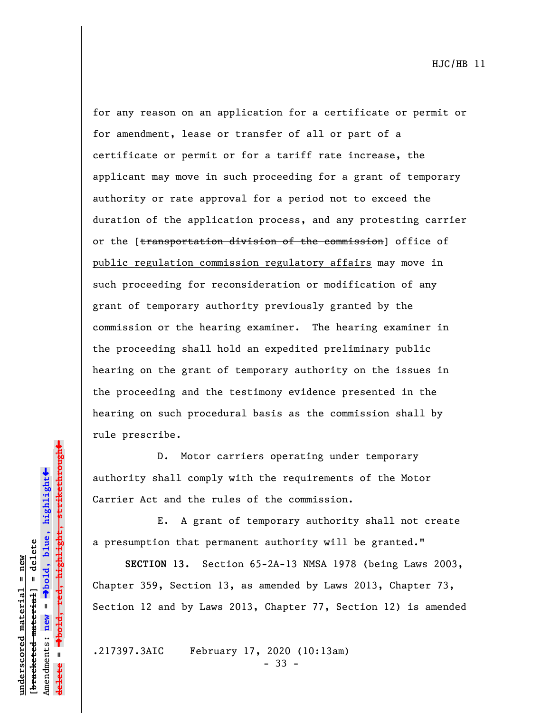for any reason on an application for a certificate or permit or for amendment, lease or transfer of all or part of a certificate or permit or for a tariff rate increase, the applicant may move in such proceeding for a grant of temporary authority or rate approval for a period not to exceed the duration of the application process, and any protesting carrier or the [transportation division of the commission] office of public regulation commission regulatory affairs may move in such proceeding for reconsideration or modification of any grant of temporary authority previously granted by the commission or the hearing examiner. The hearing examiner in the proceeding shall hold an expedited preliminary public hearing on the grant of temporary authority on the issues in the proceeding and the testimony evidence presented in the hearing on such procedural basis as the commission shall by rule prescribe.

D. Motor carriers operating under temporary authority shall comply with the requirements of the Motor Carrier Act and the rules of the commission.

E. A grant of temporary authority shall not create a presumption that permanent authority will be granted."

**SECTION 13.** Section 65-2A-13 NMSA 1978 (being Laws 2003, Chapter 359, Section 13, as amended by Laws 2013, Chapter 73, Section 12 and by Laws 2013, Chapter 77, Section 12) is amended

.217397.3AIC February 17, 2020 (10:13am)

- 33 -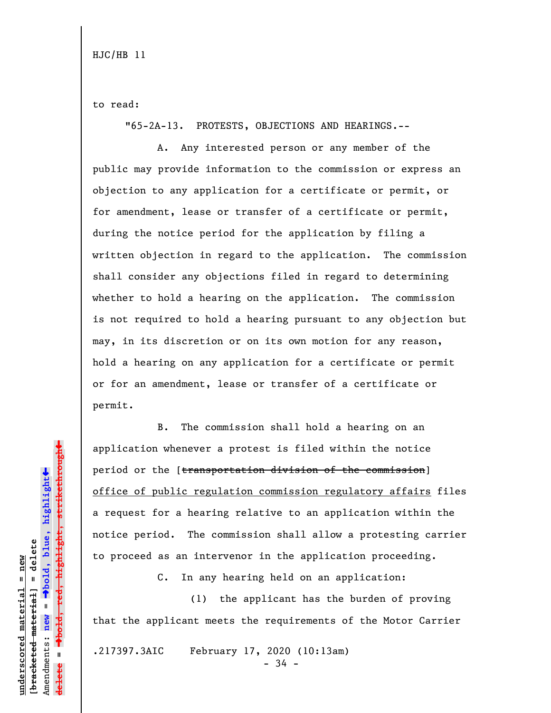to read:

"65-2A-13. PROTESTS, OBJECTIONS AND HEARINGS.--

A. Any interested person or any member of the public may provide information to the commission or express an objection to any application for a certificate or permit, or for amendment, lease or transfer of a certificate or permit, during the notice period for the application by filing a written objection in regard to the application. The commission shall consider any objections filed in regard to determining whether to hold a hearing on the application. The commission is not required to hold a hearing pursuant to any objection but may, in its discretion or on its own motion for any reason, hold a hearing on any application for a certificate or permit or for an amendment, lease or transfer of a certificate or permit.

B. The commission shall hold a hearing on an application whenever a protest is filed within the notice period or the [transportation division of the commission] office of public regulation commission regulatory affairs files a request for a hearing relative to an application within the notice period. The commission shall allow a protesting carrier to proceed as an intervenor in the application proceeding.

C. In any hearing held on an application:

(1) the applicant has the burden of proving that the applicant meets the requirements of the Motor Carrier

.217397.3AIC February 17, 2020 (10:13am)

- 34 -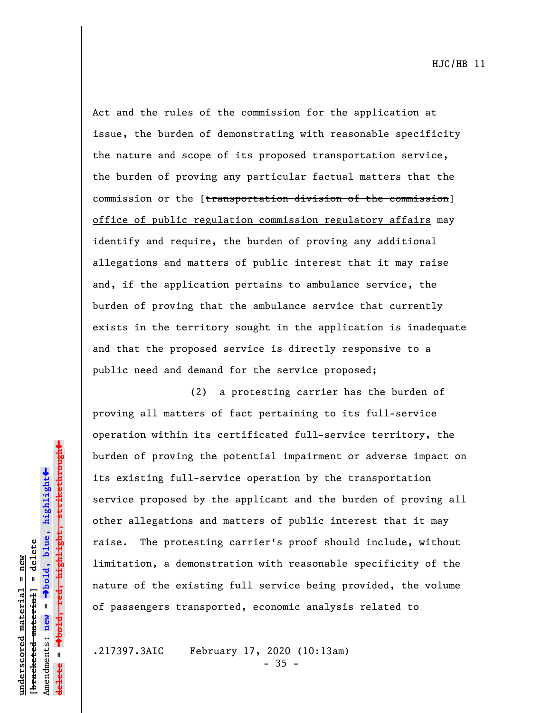Act and the rules of the commission for the application at issue, the burden of demonstrating with reasonable specificity the nature and scope of its proposed transportation service, the burden of proving any particular factual matters that the commission or the [transportation division of the commission] office of public regulation commission regulatory affairs may identify and require, the burden of proving any additional allegations and matters of public interest that it may raise and, if the application pertains to ambulance service, the burden of proving that the ambulance service that currently exists in the territory sought in the application is inadequate and that the proposed service is directly responsive to a public need and demand for the service proposed;

(2) a protesting carrier has the burden of proving all matters of fact pertaining to its full-service operation within its certificated full-service territory, the burden of proving the potential impairment or adverse impact on its existing full-service operation by the transportation service proposed by the applicant and the burden of proving all other allegations and matters of public interest that it may raise. The protesting carrier's proof should include, without limitation, a demonstration with reasonable specificity of the nature of the existing full service being provided, the volume of passengers transported, economic analysis related to

.217397.3AIC February 17, 2020 (10:13am)

- 35 -

 $\ddag$ º**bold, red, highlight, strikethrough**  $\ddot{\bullet}$ º**bold, blue, highlight** bracketed material] = delete **[bracketed material] = delete** inderscored material = new **underscored material = new** Amendments: new = Amendments: **new** = **delete =**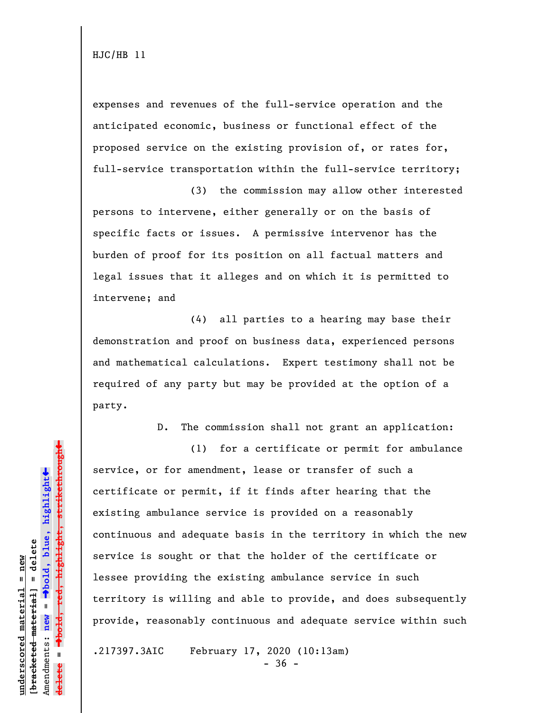expenses and revenues of the full-service operation and the anticipated economic, business or functional effect of the proposed service on the existing provision of, or rates for, full-service transportation within the full-service territory;

(3) the commission may allow other interested persons to intervene, either generally or on the basis of specific facts or issues. A permissive intervenor has the burden of proof for its position on all factual matters and legal issues that it alleges and on which it is permitted to intervene; and

(4) all parties to a hearing may base their demonstration and proof on business data, experienced persons and mathematical calculations. Expert testimony shall not be required of any party but may be provided at the option of a party.

D. The commission shall not grant an application:

(1) for a certificate or permit for ambulance service, or for amendment, lease or transfer of such a certificate or permit, if it finds after hearing that the existing ambulance service is provided on a reasonably continuous and adequate basis in the territory in which the new service is sought or that the holder of the certificate or lessee providing the existing ambulance service in such territory is willing and able to provide, and does subsequently provide, reasonably continuous and adequate service within such

.217397.3AIC February 17, 2020 (10:13am)

- 36 -

 $\ddag$ º**bold, red, highlight, strikethrough**  $\ddot{\bullet}$ º**bold, blue, highlight**  $b$ racketed material] = delete **[bracketed material] = delete** inderscored material = new **underscored material = new** Amendments: **new** =  $\mathbf{I}$ Amendments: new  $\mathbf{I}$ **delete =**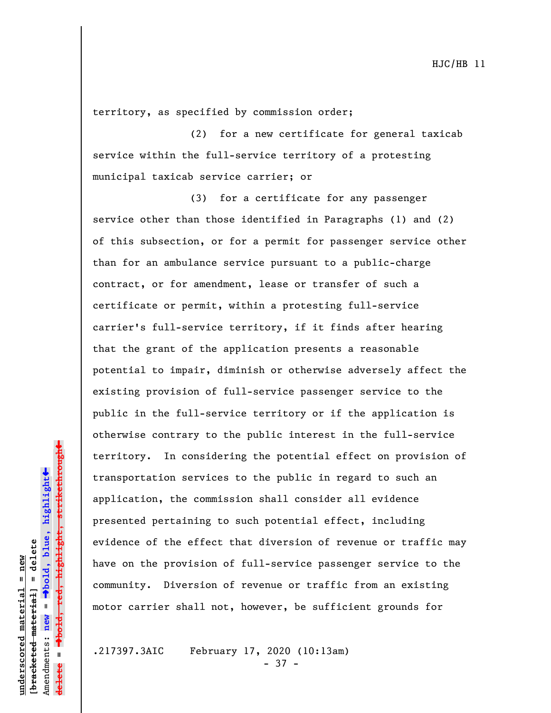territory, as specified by commission order;

(2) for a new certificate for general taxicab service within the full-service territory of a protesting municipal taxicab service carrier; or

(3) for a certificate for any passenger service other than those identified in Paragraphs (1) and (2) of this subsection, or for a permit for passenger service other than for an ambulance service pursuant to a public-charge contract, or for amendment, lease or transfer of such a certificate or permit, within a protesting full-service carrier's full-service territory, if it finds after hearing that the grant of the application presents a reasonable potential to impair, diminish or otherwise adversely affect the existing provision of full-service passenger service to the public in the full-service territory or if the application is otherwise contrary to the public interest in the full-service territory. In considering the potential effect on provision of transportation services to the public in regard to such an application, the commission shall consider all evidence presented pertaining to such potential effect, including evidence of the effect that diversion of revenue or traffic may have on the provision of full-service passenger service to the community. Diversion of revenue or traffic from an existing motor carrier shall not, however, be sufficient grounds for

.217397.3AIC February 17, 2020 (10:13am)

- 37 -

»bold, red, highlight, strikethrough º**bold, red, highlight, strikethrough**  $\ddot{\bullet}$ º**bold, blue, highlight** bracketed material] = delete **[bracketed material] = delete** inderscored material = new **underscored material = new** Amendments: **new** = Amendments: new = **delete =**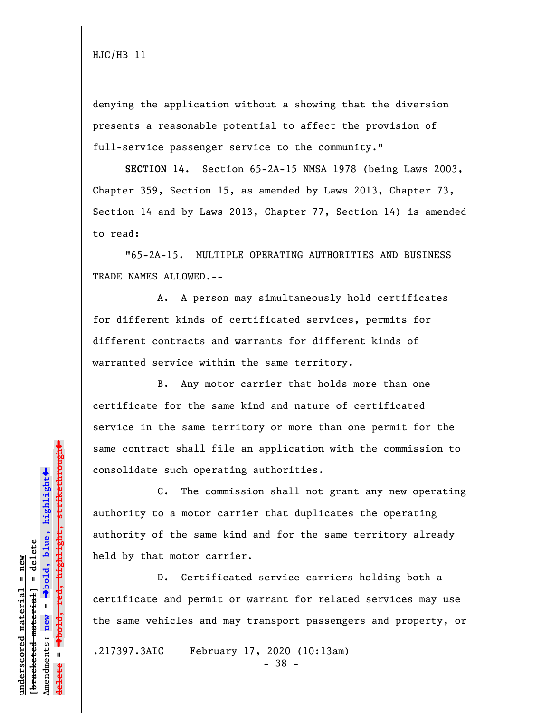denying the application without a showing that the diversion presents a reasonable potential to affect the provision of full-service passenger service to the community."

**SECTION 14.** Section 65-2A-15 NMSA 1978 (being Laws 2003, Chapter 359, Section 15, as amended by Laws 2013, Chapter 73, Section 14 and by Laws 2013, Chapter 77, Section 14) is amended to read:

"65-2A-15. MULTIPLE OPERATING AUTHORITIES AND BUSINESS TRADE NAMES ALLOWED.--

A. A person may simultaneously hold certificates for different kinds of certificated services, permits for different contracts and warrants for different kinds of warranted service within the same territory.

B. Any motor carrier that holds more than one certificate for the same kind and nature of certificated service in the same territory or more than one permit for the same contract shall file an application with the commission to consolidate such operating authorities.

C. The commission shall not grant any new operating authority to a motor carrier that duplicates the operating authority of the same kind and for the same territory already held by that motor carrier.

D. Certificated service carriers holding both a certificate and permit or warrant for related services may use the same vehicles and may transport passengers and property, or

.217397.3AIC February 17, 2020 (10:13am)

- 38 -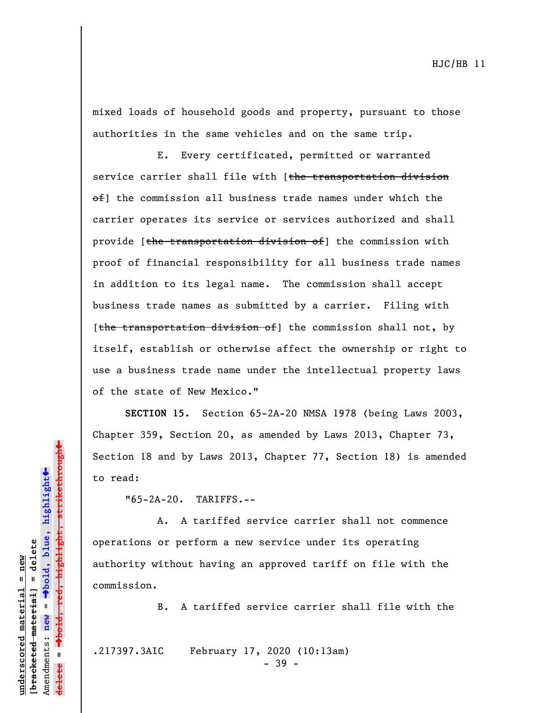mixed loads of household goods and property, pursuant to those authorities in the same vehicles and on the same trip.

E. Every certificated, permitted or warranted service carrier shall file with [the transportation division of] the commission all business trade names under which the carrier operates its service or services authorized and shall provide [the transportation division of] the commission with proof of financial responsibility for all business trade names in addition to its legal name. The commission shall accept business trade names as submitted by a carrier. Filing with [the transportation division of] the commission shall not, by itself, establish or otherwise affect the ownership or right to use a business trade name under the intellectual property laws of the state of New Mexico."

**SECTION 15.** Section 65-2A-20 NMSA 1978 (being Laws 2003, Chapter 359, Section 20, as amended by Laws 2013, Chapter 73, Section 18 and by Laws 2013, Chapter 77, Section 18) is amended to read:

"65-2A-20. TARIFFS.--

A. A tariffed service carrier shall not commence operations or perform a new service under its operating authority without having an approved tariff on file with the commission.

B. A tariffed service carrier shall file with the

.217397.3AIC February 17, 2020 (10:13am)

- 39 -

»red, highlight, strikethrough º**bold, red, highlight, strikethrough**  $\ddot{\bullet}$ º**bold, blue, highlight** bracketed material] = delete **[bracketed material] = delete** inderscored material = new **underscored material = new** Amendments: **new** =  $\mathbf{u}$ Amendments: new **delete =**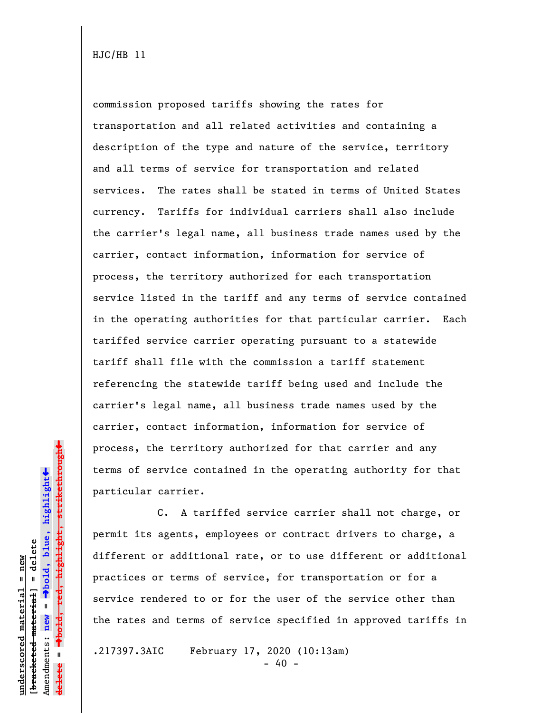commission proposed tariffs showing the rates for transportation and all related activities and containing a description of the type and nature of the service, territory and all terms of service for transportation and related services. The rates shall be stated in terms of United States currency. Tariffs for individual carriers shall also include the carrier's legal name, all business trade names used by the carrier, contact information, information for service of process, the territory authorized for each transportation service listed in the tariff and any terms of service contained in the operating authorities for that particular carrier. Each tariffed service carrier operating pursuant to a statewide tariff shall file with the commission a tariff statement referencing the statewide tariff being used and include the carrier's legal name, all business trade names used by the carrier, contact information, information for service of process, the territory authorized for that carrier and any terms of service contained in the operating authority for that particular carrier.

C. A tariffed service carrier shall not charge, or permit its agents, employees or contract drivers to charge, a different or additional rate, or to use different or additional practices or terms of service, for transportation or for a service rendered to or for the user of the service other than the rates and terms of service specified in approved tariffs in

.217397.3AIC February 17, 2020 (10:13am)

 $- 40 -$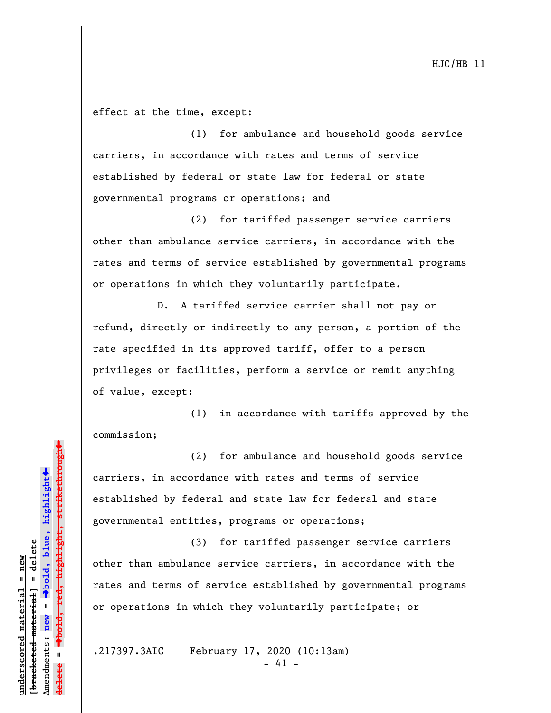effect at the time, except:

(1) for ambulance and household goods service carriers, in accordance with rates and terms of service established by federal or state law for federal or state governmental programs or operations; and

(2) for tariffed passenger service carriers other than ambulance service carriers, in accordance with the rates and terms of service established by governmental programs or operations in which they voluntarily participate.

D. A tariffed service carrier shall not pay or refund, directly or indirectly to any person, a portion of the rate specified in its approved tariff, offer to a person privileges or facilities, perform a service or remit anything of value, except:

(1) in accordance with tariffs approved by the commission;

(2) for ambulance and household goods service carriers, in accordance with rates and terms of service established by federal and state law for federal and state governmental entities, programs or operations;

(3) for tariffed passenger service carriers other than ambulance service carriers, in accordance with the rates and terms of service established by governmental programs or operations in which they voluntarily participate; or

.217397.3AIC February 17, 2020 (10:13am)

- 41 -

»º**bold, red, highlight, strikethrough** highlight, strikethrou  $\ddot{\bullet}$ º**bold, blue, highlight** bracketed material] = delete **[bracketed material] = delete** inderscored material = new **underscored material = new** Amendments: **new** =  $\mathbf{u}$ Amendments: new **delete =**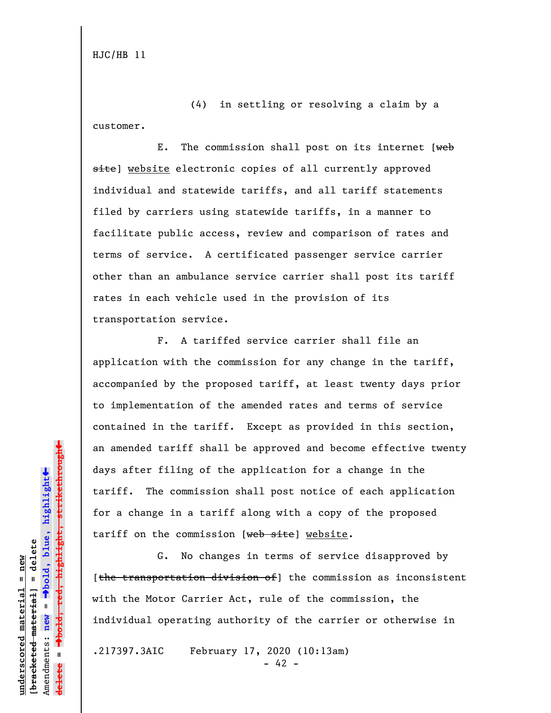(4) in settling or resolving a claim by a customer.

E. The commission shall post on its internet  $[web]$ site] website electronic copies of all currently approved individual and statewide tariffs, and all tariff statements filed by carriers using statewide tariffs, in a manner to facilitate public access, review and comparison of rates and terms of service. A certificated passenger service carrier other than an ambulance service carrier shall post its tariff rates in each vehicle used in the provision of its transportation service.

F. A tariffed service carrier shall file an application with the commission for any change in the tariff, accompanied by the proposed tariff, at least twenty days prior to implementation of the amended rates and terms of service contained in the tariff. Except as provided in this section, an amended tariff shall be approved and become effective twenty days after filing of the application for a change in the tariff. The commission shall post notice of each application for a change in a tariff along with a copy of the proposed tariff on the commission [web site] website.

G. No changes in terms of service disapproved by [the transportation division of] the commission as inconsistent with the Motor Carrier Act, rule of the commission, the individual operating authority of the carrier or otherwise in

.217397.3AIC February 17, 2020 (10:13am)  $- 42 -$ 

º**bold, red, highlight, strikethrough**  $\ddot{\bullet}$ º**bold, blue, highlight**  $b$ racketed material] = delete **[bracketed material] = delete** inderscored material = new **underscored material = new** Amendments: **new** =  $\mathbf{u}$ Amendments: new  $\mathbf{I}$ **delete =**

 $\ddag$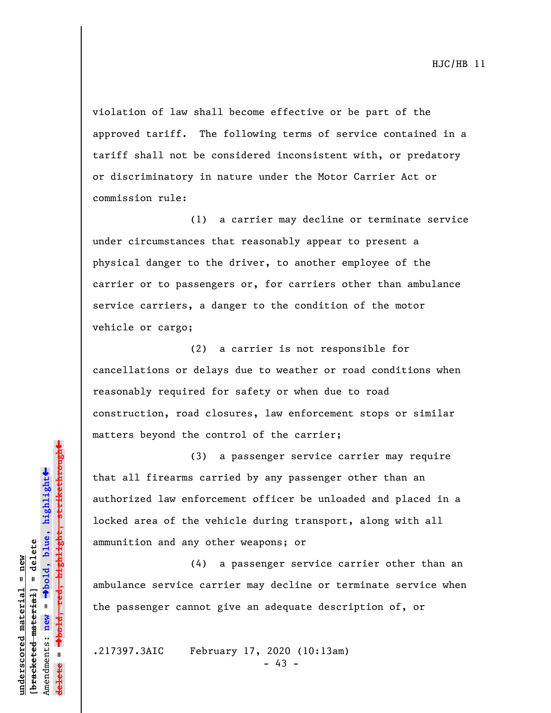violation of law shall become effective or be part of the approved tariff. The following terms of service contained in a tariff shall not be considered inconsistent with, or predatory or discriminatory in nature under the Motor Carrier Act or commission rule:

(1) a carrier may decline or terminate service under circumstances that reasonably appear to present a physical danger to the driver, to another employee of the carrier or to passengers or, for carriers other than ambulance service carriers, a danger to the condition of the motor vehicle or cargo;

(2) a carrier is not responsible for cancellations or delays due to weather or road conditions when reasonably required for safety or when due to road construction, road closures, law enforcement stops or similar matters beyond the control of the carrier;

(3) a passenger service carrier may require that all firearms carried by any passenger other than an authorized law enforcement officer be unloaded and placed in a locked area of the vehicle during transport, along with all ammunition and any other weapons; or

(4) a passenger service carrier other than an ambulance service carrier may decline or terminate service when the passenger cannot give an adequate description of, or

.217397.3AIC February 17, 2020 (10:13am)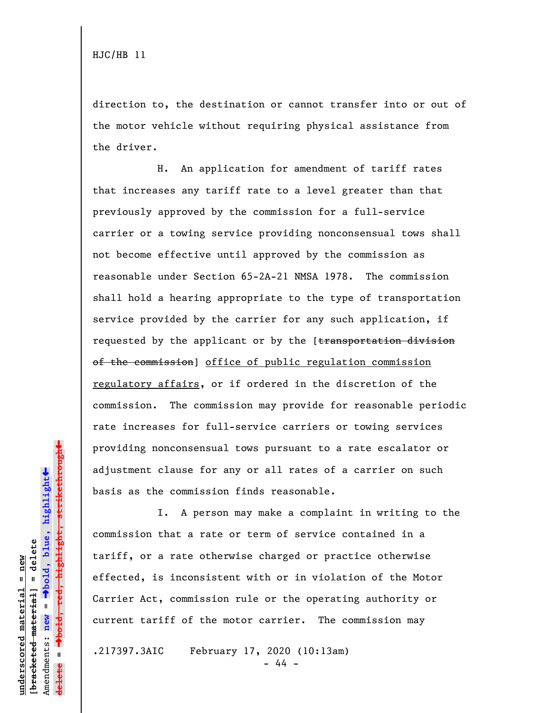direction to, the destination or cannot transfer into or out of the motor vehicle without requiring physical assistance from the driver.

H. An application for amendment of tariff rates that increases any tariff rate to a level greater than that previously approved by the commission for a full-service carrier or a towing service providing nonconsensual tows shall not become effective until approved by the commission as reasonable under Section 65-2A-21 NMSA 1978. The commission shall hold a hearing appropriate to the type of transportation service provided by the carrier for any such application, if requested by the applicant or by the [transportation division of the commission] office of public regulation commission regulatory affairs, or if ordered in the discretion of the commission. The commission may provide for reasonable periodic rate increases for full-service carriers or towing services providing nonconsensual tows pursuant to a rate escalator or adjustment clause for any or all rates of a carrier on such basis as the commission finds reasonable.

I. A person may make a complaint in writing to the commission that a rate or term of service contained in a tariff, or a rate otherwise charged or practice otherwise effected, is inconsistent with or in violation of the Motor Carrier Act, commission rule or the operating authority or current tariff of the motor carrier. The commission may

.217397.3AIC February 17, 2020 (10:13am)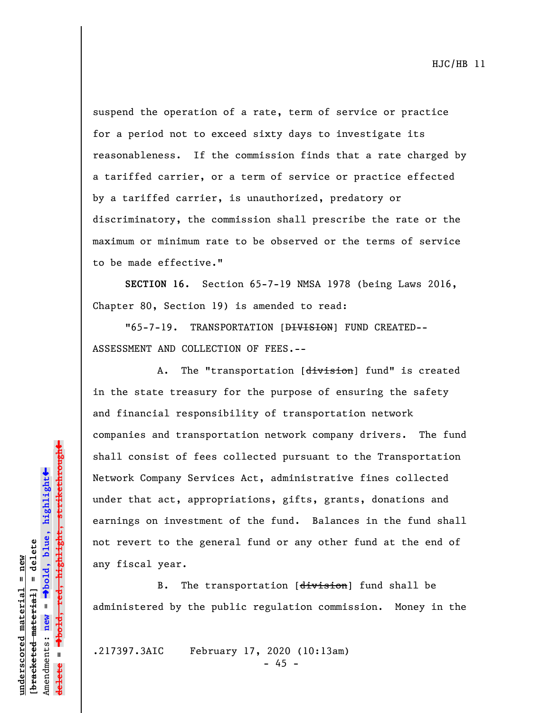suspend the operation of a rate, term of service or practice for a period not to exceed sixty days to investigate its reasonableness. If the commission finds that a rate charged by a tariffed carrier, or a term of service or practice effected by a tariffed carrier, is unauthorized, predatory or discriminatory, the commission shall prescribe the rate or the maximum or minimum rate to be observed or the terms of service to be made effective."

**SECTION 16.** Section 65-7-19 NMSA 1978 (being Laws 2016, Chapter 80, Section 19) is amended to read:

"65-7-19. TRANSPORTATION [DIVISION] FUND CREATED-- ASSESSMENT AND COLLECTION OF FEES.--

A. The "transportation [division] fund" is created in the state treasury for the purpose of ensuring the safety and financial responsibility of transportation network companies and transportation network company drivers. The fund shall consist of fees collected pursuant to the Transportation Network Company Services Act, administrative fines collected under that act, appropriations, gifts, grants, donations and earnings on investment of the fund. Balances in the fund shall not revert to the general fund or any other fund at the end of any fiscal year.

B. The transportation [division] fund shall be administered by the public regulation commission. Money in the

.217397.3AIC February 17, 2020 (10:13am)

 $- 45 -$ 

»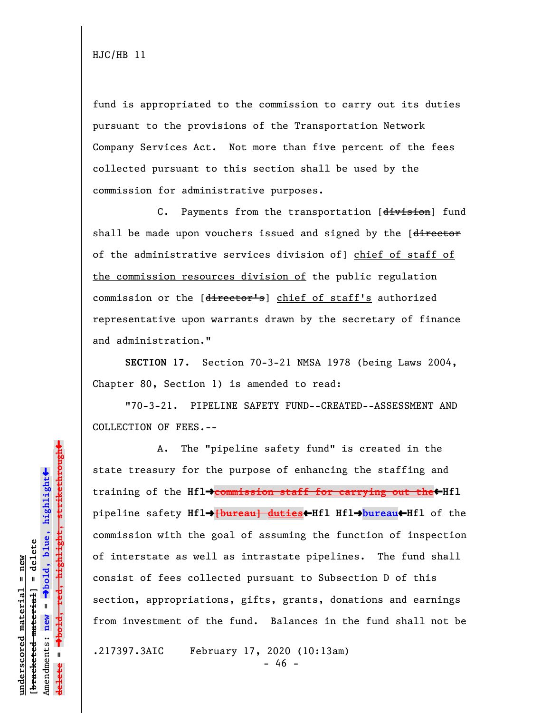fund is appropriated to the commission to carry out its duties pursuant to the provisions of the Transportation Network Company Services Act. Not more than five percent of the fees collected pursuant to this section shall be used by the commission for administrative purposes.

C. Payments from the transportation [division] fund shall be made upon vouchers issued and signed by the [director of the administrative services division of] chief of staff of the commission resources division of the public regulation commission or the [director's] chief of staff's authorized representative upon warrants drawn by the secretary of finance and administration."

**SECTION 17.** Section 70-3-21 NMSA 1978 (being Laws 2004, Chapter 80, Section 1) is amended to read:

"70-3-21. PIPELINE SAFETY FUND--CREATED--ASSESSMENT AND COLLECTION OF FEES.--

A. The "pipeline safety fund" is created in the state treasury for the purpose of enhancing the staffing and training of the Hfl<sup>+</sup>commission staff for carrying out the<sup>+</sup>Hfl pipeline safety **Hfl**º**[bureau] duties**»**Hfl Hfl**º**bureau**»**Hfl** of the commission with the goal of assuming the function of inspection of interstate as well as intrastate pipelines. The fund shall consist of fees collected pursuant to Subsection D of this section, appropriations, gifts, grants, donations and earnings from investment of the fund. Balances in the fund shall not be

.217397.3AIC February 17, 2020 (10:13am)

- 46 -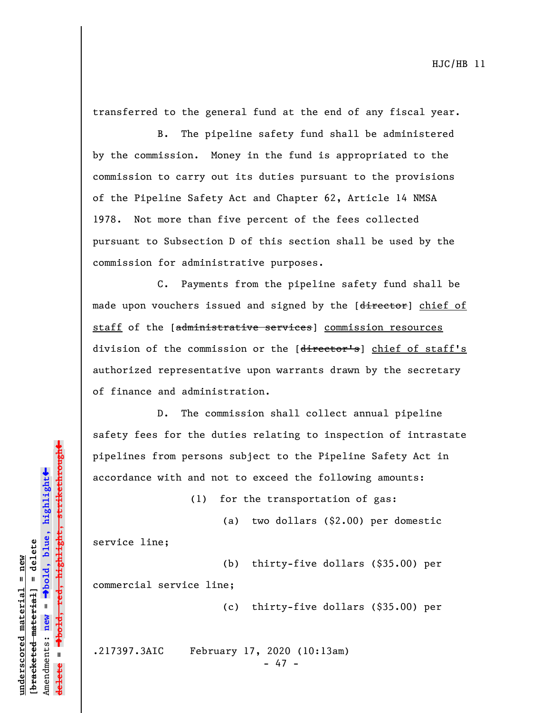transferred to the general fund at the end of any fiscal year.

B. The pipeline safety fund shall be administered by the commission. Money in the fund is appropriated to the commission to carry out its duties pursuant to the provisions of the Pipeline Safety Act and Chapter 62, Article 14 NMSA 1978. Not more than five percent of the fees collected pursuant to Subsection D of this section shall be used by the commission for administrative purposes.

C. Payments from the pipeline safety fund shall be made upon vouchers issued and signed by the [director] chief of staff of the [administrative services] commission resources division of the commission or the [director's] chief of staff's authorized representative upon warrants drawn by the secretary of finance and administration.

D. The commission shall collect annual pipeline safety fees for the duties relating to inspection of intrastate pipelines from persons subject to the Pipeline Safety Act in accordance with and not to exceed the following amounts:

(1) for the transportation of gas:

(a) two dollars (\$2.00) per domestic

service line;

(b) thirty-five dollars (\$35.00) per commercial service line;

(c) thirty-five dollars (\$35.00) per

.217397.3AIC February 17, 2020 (10:13am)

- 47 -

»º**bold, red, highlight, strikethrough** highlight, strikethrough  $\ddot{\bullet}$ º**bold, blue, highlight** bracketed material] = delete **[bracketed material] = delete** inderscored material = new **underscored material = new** Amendments: **new** =  $\mathbf{I}$ Amendments: new **delete =**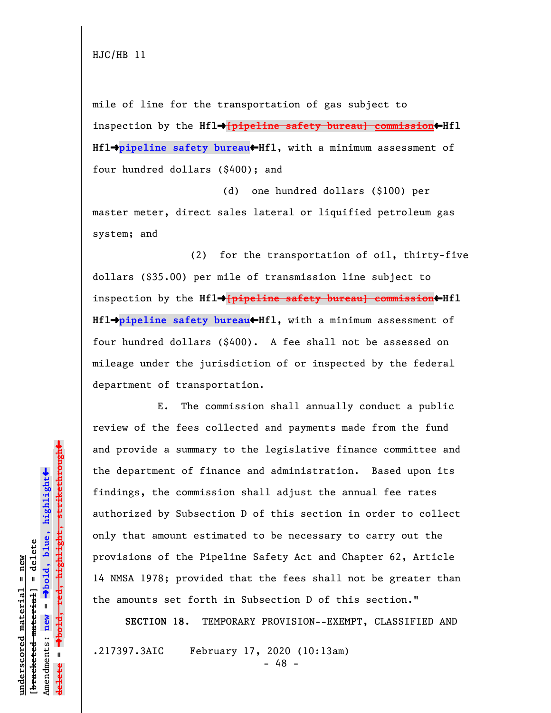mile of line for the transportation of gas subject to inspection by the Hfl<sup>+</sup>*[pipeline safety bureau] commission*<sup>+</sup>Hfl **Hfl→pipeline safety bureau←Hfl**, with a minimum assessment of four hundred dollars (\$400); and

(d) one hundred dollars (\$100) per master meter, direct sales lateral or liquified petroleum gas system; and

(2) for the transportation of oil, thirty-five dollars (\$35.00) per mile of transmission line subject to inspection by the **Hfl**º**[pipeline safety bureau] commission**»**Hfl Hfl→pipeline safety bureau←Hfl**, with a minimum assessment of four hundred dollars (\$400). A fee shall not be assessed on mileage under the jurisdiction of or inspected by the federal department of transportation.

E. The commission shall annually conduct a public review of the fees collected and payments made from the fund and provide a summary to the legislative finance committee and the department of finance and administration. Based upon its findings, the commission shall adjust the annual fee rates authorized by Subsection D of this section in order to collect only that amount estimated to be necessary to carry out the provisions of the Pipeline Safety Act and Chapter 62, Article 14 NMSA 1978; provided that the fees shall not be greater than the amounts set forth in Subsection D of this section."

**SECTION 18.** TEMPORARY PROVISION--EXEMPT, CLASSIFIED AND

.217397.3AIC February 17, 2020 (10:13am)

- 48 -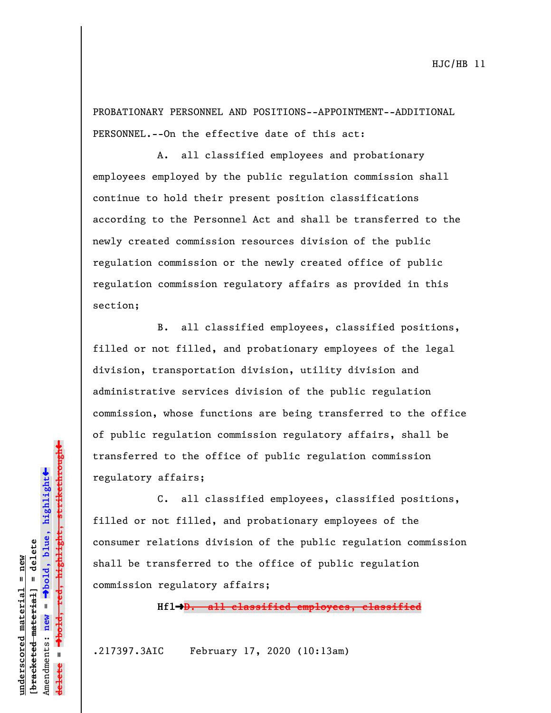PROBATIONARY PERSONNEL AND POSITIONS--APPOINTMENT--ADDITIONAL PERSONNEL.--On the effective date of this act:

A. all classified employees and probationary employees employed by the public regulation commission shall continue to hold their present position classifications according to the Personnel Act and shall be transferred to the newly created commission resources division of the public regulation commission or the newly created office of public regulation commission regulatory affairs as provided in this section;

B. all classified employees, classified positions, filled or not filled, and probationary employees of the legal division, transportation division, utility division and administrative services division of the public regulation commission, whose functions are being transferred to the office of public regulation commission regulatory affairs, shall be transferred to the office of public regulation commission regulatory affairs;

C. all classified employees, classified positions, filled or not filled, and probationary employees of the consumer relations division of the public regulation commission shall be transferred to the office of public regulation commission regulatory affairs;

**Hfl**º**D. all classified employees, classified**

.217397.3AIC February 17, 2020 (10:13am)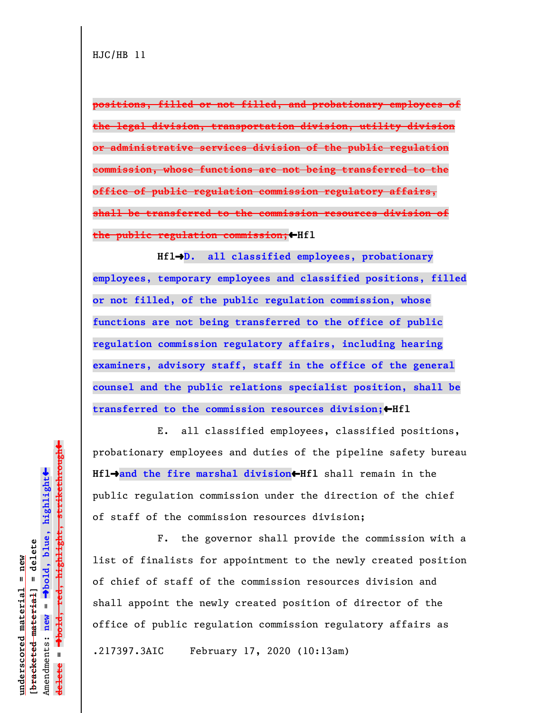**positions, filled or not filled, and probationary employees of the legal division, transportation division, utility division or administrative services division of the public regulation commission, whose functions are not being transferred to the office of public regulation commission regulatory affairs, shall be transferred to the commission resources division of the public regulation commission;**»**Hfl**

**Hfl**º**D. all classified employees, probationary employees, temporary employees and classified positions, filled or not filled, of the public regulation commission, whose functions are not being transferred to the office of public regulation commission regulatory affairs, including hearing examiners, advisory staff, staff in the office of the general counsel and the public relations specialist position, shall be** transferred to the commission resources division;<sup>+</sup>Hfl

E. all classified employees, classified positions, probationary employees and duties of the pipeline safety bureau **Hfl**º**and the fire marshal division**»**Hfl** shall remain in the public regulation commission under the direction of the chief of staff of the commission resources division;

F. the governor shall provide the commission with a list of finalists for appointment to the newly created position of chief of staff of the commission resources division and shall appoint the newly created position of director of the office of public regulation commission regulatory affairs as .217397.3AIC February 17, 2020 (10:13am)

 $\ddag$ º**bold, red, highlight, strikethrough**  $\ddot{\bullet}$ º**bold, blue, highlight**  $b$ racketed material] = delete **[bracketed material] = delete** inderscored material = new **underscored material = new** Amendments: new = Amendments: **new** =  $\mathbf{I}$ **delete =** lelete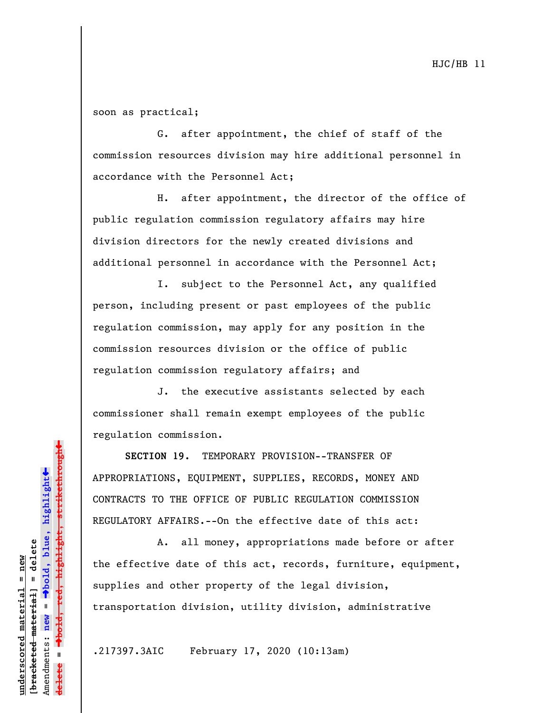soon as practical;

G. after appointment, the chief of staff of the commission resources division may hire additional personnel in accordance with the Personnel Act;

H. after appointment, the director of the office of public regulation commission regulatory affairs may hire division directors for the newly created divisions and additional personnel in accordance with the Personnel Act;

I. subject to the Personnel Act, any qualified person, including present or past employees of the public regulation commission, may apply for any position in the commission resources division or the office of public regulation commission regulatory affairs; and

J. the executive assistants selected by each commissioner shall remain exempt employees of the public regulation commission.

**SECTION 19.** TEMPORARY PROVISION--TRANSFER OF APPROPRIATIONS, EQUIPMENT, SUPPLIES, RECORDS, MONEY AND CONTRACTS TO THE OFFICE OF PUBLIC REGULATION COMMISSION REGULATORY AFFAIRS.--On the effective date of this act:

A. all money, appropriations made before or after the effective date of this act, records, furniture, equipment, supplies and other property of the legal division, transportation division, utility division, administrative

.217397.3AIC February 17, 2020 (10:13am)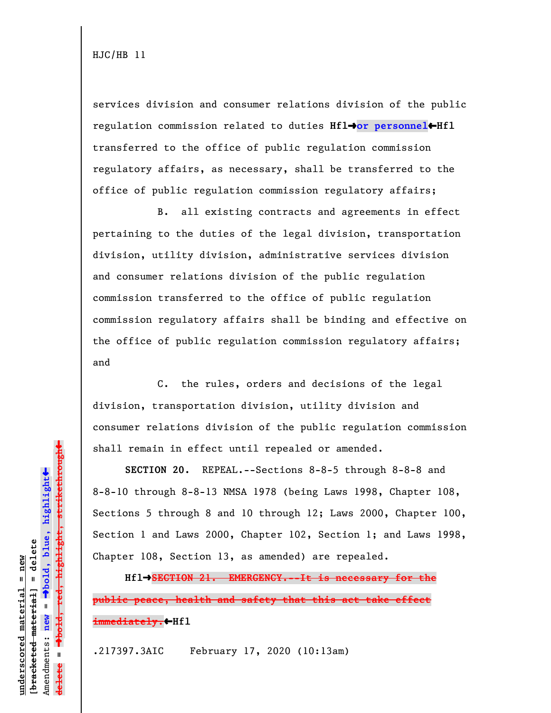services division and consumer relations division of the public regulation commission related to duties **Hfl**º**or personnel**»**Hfl** transferred to the office of public regulation commission regulatory affairs, as necessary, shall be transferred to the office of public regulation commission regulatory affairs;

B. all existing contracts and agreements in effect pertaining to the duties of the legal division, transportation division, utility division, administrative services division and consumer relations division of the public regulation commission transferred to the office of public regulation commission regulatory affairs shall be binding and effective on the office of public regulation commission regulatory affairs; and

C. the rules, orders and decisions of the legal division, transportation division, utility division and consumer relations division of the public regulation commission shall remain in effect until repealed or amended.

**SECTION 20.** REPEAL.--Sections 8-8-5 through 8-8-8 and 8-8-10 through 8-8-13 NMSA 1978 (being Laws 1998, Chapter 108, Sections 5 through 8 and 10 through 12; Laws 2000, Chapter 100, Section 1 and Laws 2000, Chapter 102, Section 1; and Laws 1998, Chapter 108, Section 13, as amended) are repealed.

**Hfl**º**SECTION 21. EMERGENCY.--It is necessary for the public peace, health and safety that this act take effect immediately.**»**Hfl**

.217397.3AIC February 17, 2020 (10:13am)